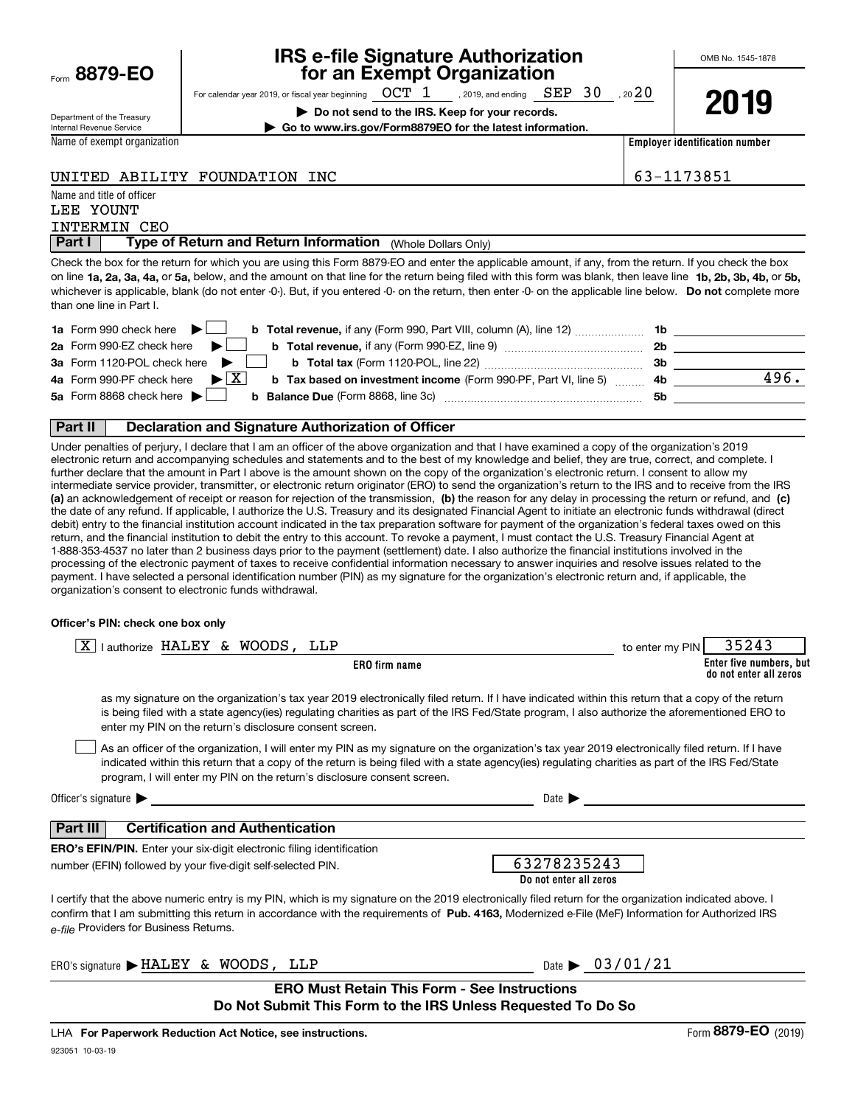|      | 8879-EO |
|------|---------|
| Form |         |

# **IRS e-file Signature Authorization for an Exempt Organization**

OMB No. 1545-1878

Department of the Treasury Internal Revenue Service

For calendar year 2019, or fiscal year beginning  $\hbox{~OCT~ 1} \qquad$  , 2019, and ending  $\hbox{~SEP~ 30} \quad$  , 20 $20$ **| Do not send to the IRS. Keep for your records. | Go to www.irs.gov/Form8879EO for the latest information.**

**Employer identification number**

# UNITED ABILITY FOUNDATION INC  $\begin{array}{|l|l|}\n\hline\n\end{array}$  63-1173851

Name and title of officer

Name of exempt organization

# INTERMIN CEO LEE YOUNT

**Part I** | Type of Return and Return Information (Whole Dollars Only)

on line **1a, 2a, 3a, 4a,** or **5a,** below, and the amount on that line for the return being filed with this form was blank, then leave line **1b, 2b, 3b, 4b,** or **5b,** whichever is applicable, blank (do not enter -0-). But, if you entered -0- on the return, then enter -0- on the applicable line below. **Do not** complete more Check the box for the return for which you are using this Form 8879-EO and enter the applicable amount, if any, from the return. If you check the box than one line in Part I.

| 1a Form 990 check here $\blacktriangleright$<br><b>b Total revenue,</b> if any (Form 990, Part VIII, column (A), line 12)      | 1b  |      |
|--------------------------------------------------------------------------------------------------------------------------------|-----|------|
| 2a Form 990-EZ check here                                                                                                      | -2b |      |
| 3a Form 1120-POL check here                                                                                                    | -3b |      |
| 4a Form 990-PF check here $\triangleright \boxed{X}$<br><b>b Tax based on investment income (Form 990-PF, Part VI, line 5)</b> | 4b. | 496. |
| 5a Form 8868 check here $\blacktriangleright$<br><b>b</b> Balance Due (Form 8868, line 3c)                                     | .5b |      |
|                                                                                                                                |     |      |

## **Part II Declaration and Signature Authorization of Officer**

**(a)** an acknowledgement of receipt or reason for rejection of the transmission, (b) the reason for any delay in processing the return or refund, and (c) Under penalties of perjury, I declare that I am an officer of the above organization and that I have examined a copy of the organization's 2019 electronic return and accompanying schedules and statements and to the best of my knowledge and belief, they are true, correct, and complete. I further declare that the amount in Part I above is the amount shown on the copy of the organization's electronic return. I consent to allow my intermediate service provider, transmitter, or electronic return originator (ERO) to send the organization's return to the IRS and to receive from the IRS the date of any refund. If applicable, I authorize the U.S. Treasury and its designated Financial Agent to initiate an electronic funds withdrawal (direct debit) entry to the financial institution account indicated in the tax preparation software for payment of the organization's federal taxes owed on this return, and the financial institution to debit the entry to this account. To revoke a payment, I must contact the U.S. Treasury Financial Agent at 1-888-353-4537 no later than 2 business days prior to the payment (settlement) date. I also authorize the financial institutions involved in the processing of the electronic payment of taxes to receive confidential information necessary to answer inquiries and resolve issues related to the payment. I have selected a personal identification number (PIN) as my signature for the organization's electronic return and, if applicable, the organization's consent to electronic funds withdrawal.

## **Officer's PIN: check one box only**

| $\overline{X}$   authorize HALEY & WOODS, LLP                                                                                                                                                                                                                                                                                                                                    | 35243<br>to enter my PIN                          |
|----------------------------------------------------------------------------------------------------------------------------------------------------------------------------------------------------------------------------------------------------------------------------------------------------------------------------------------------------------------------------------|---------------------------------------------------|
| ERO firm name                                                                                                                                                                                                                                                                                                                                                                    | Enter five numbers, but<br>do not enter all zeros |
| as my signature on the organization's tax year 2019 electronically filed return. If I have indicated within this return that a copy of the return<br>is being filed with a state agency(ies) regulating charities as part of the IRS Fed/State program, I also authorize the aforementioned ERO to<br>enter my PIN on the return's disclosure consent screen.                    |                                                   |
| As an officer of the organization, I will enter my PIN as my signature on the organization's tax year 2019 electronically filed return. If I have<br>indicated within this return that a copy of the return is being filed with a state agency(ies) regulating charities as part of the IRS Fed/State<br>program, I will enter my PIN on the return's disclosure consent screen. |                                                   |
| Officer's signature $\blacktriangleright$                                                                                                                                                                                                                                                                                                                                        | Date $\blacktriangleright$                        |
| <b>Certification and Authentication</b><br>Part III                                                                                                                                                                                                                                                                                                                              |                                                   |
| <b>ERO's EFIN/PIN.</b> Enter your six-digit electronic filing identification                                                                                                                                                                                                                                                                                                     |                                                   |
| number (EFIN) followed by your five-digit self-selected PIN.                                                                                                                                                                                                                                                                                                                     | 63278235243                                       |
|                                                                                                                                                                                                                                                                                                                                                                                  | Do not enter all zeros                            |
| I certify that the above numeric entry is my PIN, which is my signature on the 2019 electronically filed return for the organization indicated above. I<br>confirm that I am submitting this return in accordance with the requirements of Pub. 4163, Modernized e-File (MeF) Information for Authorized IRS<br>e-file Providers for Business Returns.                           |                                                   |
| ERO's signature > HALEY & WOODS, LLP                                                                                                                                                                                                                                                                                                                                             | Date $\frac{0.3}{0.1}$ / 01/21                    |
| <b>ERO Must Retain This Form - See Instructions</b><br>Do Not Submit This Form to the IRS Unless Requested To Do So                                                                                                                                                                                                                                                              |                                                   |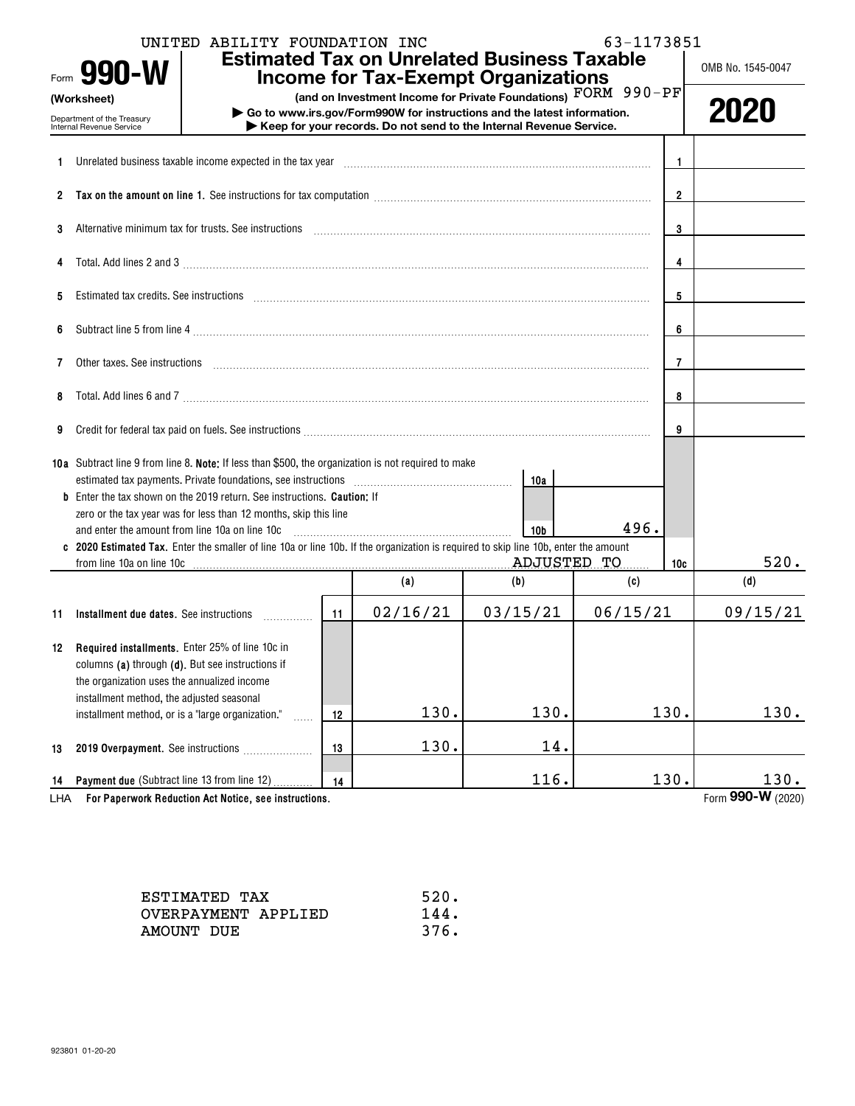| 63-1173851<br>UNITED ABILITY FOUNDATION INC<br><b>Estimated Tax on Unrelated Business Taxable</b><br>Form 990-W<br><b>Income for Tax-Exempt Organizations</b> |                                                                                                                                                                                                                                |                                                                                                                                                                                                                                                                                                                                       |    |                                                                                                                                                                                                                                                                                                                                                                                                                                             |                 |          |                | OMB No. 1545-0047         |
|---------------------------------------------------------------------------------------------------------------------------------------------------------------|--------------------------------------------------------------------------------------------------------------------------------------------------------------------------------------------------------------------------------|---------------------------------------------------------------------------------------------------------------------------------------------------------------------------------------------------------------------------------------------------------------------------------------------------------------------------------------|----|---------------------------------------------------------------------------------------------------------------------------------------------------------------------------------------------------------------------------------------------------------------------------------------------------------------------------------------------------------------------------------------------------------------------------------------------|-----------------|----------|----------------|---------------------------|
|                                                                                                                                                               | (Worksheet)<br>Department of the Treasury<br>Internal Revenue Service                                                                                                                                                          |                                                                                                                                                                                                                                                                                                                                       |    | (and on Investment Income for Private Foundations) FORM 990-PF<br>Go to www.irs.gov/Form990W for instructions and the latest information.<br>Keep for your records. Do not send to the Internal Revenue Service.                                                                                                                                                                                                                            |                 |          |                | 2020                      |
| 1.                                                                                                                                                            |                                                                                                                                                                                                                                | Unrelated business taxable income expected in the tax year                                                                                                                                                                                                                                                                            |    |                                                                                                                                                                                                                                                                                                                                                                                                                                             |                 |          | -1             |                           |
|                                                                                                                                                               |                                                                                                                                                                                                                                |                                                                                                                                                                                                                                                                                                                                       |    |                                                                                                                                                                                                                                                                                                                                                                                                                                             |                 |          | $\overline{2}$ |                           |
| 3                                                                                                                                                             |                                                                                                                                                                                                                                | Alternative minimum tax for trusts. See instructions                                                                                                                                                                                                                                                                                  |    | $\begin{minipage}{0.5\textwidth} \begin{tabular}{ l l l } \hline \multicolumn{1}{ l l l } \hline \multicolumn{1}{ l l } \multicolumn{1}{ l } \multicolumn{1}{ l } \multicolumn{1}{ l } \multicolumn{1}{ l } \multicolumn{1}{ l } \multicolumn{1}{ l } \multicolumn{1}{ l } \multicolumn{1}{ l } \multicolumn{1}{ l } \multicolumn{1}{ l } \multicolumn{1}{ l } \multicolumn{1}{ l } \multicolumn{1}{ l } \multicolumn{1}{ l } \multicolumn$ |                 |          | 3              |                           |
| 4                                                                                                                                                             | $\textbf{Total. Add lines 2 and 3} \underbrace{\hspace{2cm}}$                                                                                                                                                                  |                                                                                                                                                                                                                                                                                                                                       | 4  |                                                                                                                                                                                                                                                                                                                                                                                                                                             |                 |          |                |                           |
| 5                                                                                                                                                             | Estimated tax credits. See instructions entertainment and an according to the instruction of the instructions                                                                                                                  |                                                                                                                                                                                                                                                                                                                                       |    |                                                                                                                                                                                                                                                                                                                                                                                                                                             |                 |          |                |                           |
| 6                                                                                                                                                             |                                                                                                                                                                                                                                |                                                                                                                                                                                                                                                                                                                                       |    |                                                                                                                                                                                                                                                                                                                                                                                                                                             |                 |          |                |                           |
| 7                                                                                                                                                             | Other taxes. See instructions entertainment and an account of the set of the set of the set of the set of the set of the set of the set of the set of the set of the set of the set of the set of the set of the set of the se |                                                                                                                                                                                                                                                                                                                                       |    |                                                                                                                                                                                                                                                                                                                                                                                                                                             |                 |          |                |                           |
| 8                                                                                                                                                             |                                                                                                                                                                                                                                | Total. Add lines 6 and 7 [11] manufacture contract to an analysis of the contract of the contract of the contract of the contract of the contract of the contract of the contract of the contract of the contract of the contr                                                                                                        |    |                                                                                                                                                                                                                                                                                                                                                                                                                                             |                 |          | 8              |                           |
| 9                                                                                                                                                             |                                                                                                                                                                                                                                | Credit for federal tax paid on fuels. See instructions [11] contains and an increase of the set of the set of the set of the set of the set of the set of the set of the set of the set of the set of the set of the set of th                                                                                                        |    |                                                                                                                                                                                                                                                                                                                                                                                                                                             |                 |          | 9              |                           |
|                                                                                                                                                               |                                                                                                                                                                                                                                | 10a Subtract line 9 from line 8. Note: If less than \$500, the organization is not required to make<br>estimated tax payments. Private foundations, see instructions [111] [11] continuations [11] and the set in the set in the set in the set in the set in the set in the set in the set in the set in the set in the set in the s |    |                                                                                                                                                                                                                                                                                                                                                                                                                                             | 10a             |          |                |                           |
|                                                                                                                                                               | and enter the amount from line 10a on line 10c                                                                                                                                                                                 | <b>b</b> Enter the tax shown on the 2019 return. See instructions. <b>Caution:</b> If<br>zero or the tax year was for less than 12 months, skip this line                                                                                                                                                                             |    |                                                                                                                                                                                                                                                                                                                                                                                                                                             | 10 <sub>b</sub> | 496.     |                |                           |
|                                                                                                                                                               |                                                                                                                                                                                                                                | c 2020 Estimated Tax. Enter the smaller of line 10a or line 10b. If the organization is required to skip line 10b, enter the amount<br>from line 10a on line 10c <b>matures and the Contract of Taylor 200</b> Monthlyton 200 Monthlyton 200 Monthlyton 200 Mo                                                                        |    |                                                                                                                                                                                                                                                                                                                                                                                                                                             |                 |          | 10c            | 520.                      |
|                                                                                                                                                               |                                                                                                                                                                                                                                |                                                                                                                                                                                                                                                                                                                                       |    | (a)                                                                                                                                                                                                                                                                                                                                                                                                                                         | (b)             | (c)      |                | (d)                       |
| 11                                                                                                                                                            |                                                                                                                                                                                                                                | Installment due dates. See instructions                                                                                                                                                                                                                                                                                               | 11 | 02/16/21                                                                                                                                                                                                                                                                                                                                                                                                                                    | 03/15/21        | 06/15/21 |                | 09/15/21                  |
|                                                                                                                                                               | <b>12 Required installments.</b> Enter 25% of line 10c in<br>columns (a) through (d). But see instructions if<br>the organization uses the annualized income<br>installment method, the adjusted seasonal                      |                                                                                                                                                                                                                                                                                                                                       |    |                                                                                                                                                                                                                                                                                                                                                                                                                                             |                 |          |                |                           |
|                                                                                                                                                               | installment method, or is a "large organization."                                                                                                                                                                              | .                                                                                                                                                                                                                                                                                                                                     | 12 | 130.                                                                                                                                                                                                                                                                                                                                                                                                                                        | 130.            |          | 130.           | 130.                      |
| 13                                                                                                                                                            |                                                                                                                                                                                                                                | 2019 Overpayment. See instructions                                                                                                                                                                                                                                                                                                    | 13 | 130.                                                                                                                                                                                                                                                                                                                                                                                                                                        | 14.             |          |                |                           |
| 14<br>LHA                                                                                                                                                     | Payment due (Subtract line 13 from line 12)                                                                                                                                                                                    | For Paperwork Reduction Act Notice, see instructions.                                                                                                                                                                                                                                                                                 | 14 |                                                                                                                                                                                                                                                                                                                                                                                                                                             | 116.            |          | 130.           | 130.<br>Form 990-W (2020) |

| ESTIMATED TAX       | 520. |
|---------------------|------|
| OVERPAYMENT APPLIED | 144. |
| AMOUNT DUE          | 376. |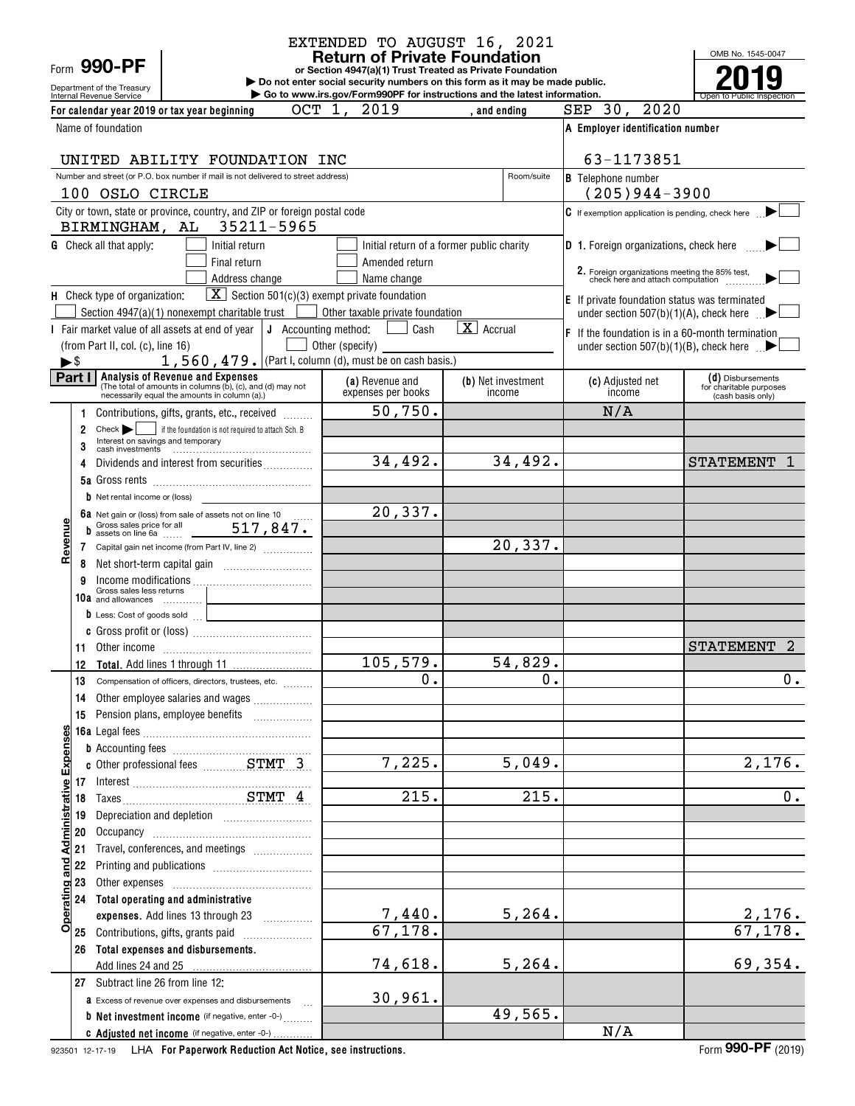Department of the Treasury<br>Internal Revenue Service Form **990-PF**

### **Return of Private Foundation** EXTENDED TO AUGUST 16, 2021

**or Section 4947(a)(1) Trust Treated as Private Foundation**

Internal Revenue Service **Number 19th Construction Constructions and the latest information.** The Service of Public Inspection **| Do not enter social security numbers on this form as it may be made public. | Go to www.irs.gov/Form990PF for instructions and the latest information.**

OMB No. 1545-0047 **2019**

| OCT 1,<br>For calendar year 2019 or tax year beginning                                                                                                                                                                              | 2019                                     | , and ending                              | SEP 30, 2020                                                                                         |                                              |
|-------------------------------------------------------------------------------------------------------------------------------------------------------------------------------------------------------------------------------------|------------------------------------------|-------------------------------------------|------------------------------------------------------------------------------------------------------|----------------------------------------------|
| Name of foundation                                                                                                                                                                                                                  |                                          |                                           | A Employer identification number                                                                     |                                              |
| UNITED ABILITY FOUNDATION INC                                                                                                                                                                                                       |                                          |                                           | 63-1173851                                                                                           |                                              |
| Number and street (or P.O. box number if mail is not delivered to street address)                                                                                                                                                   |                                          | Room/suite                                | <b>B</b> Telephone number                                                                            |                                              |
| 100 OSLO CIRCLE                                                                                                                                                                                                                     |                                          |                                           | $(205)944 - 3900$                                                                                    |                                              |
| City or town, state or province, country, and ZIP or foreign postal code<br>35211-5965<br>BIRMINGHAM, AL                                                                                                                            |                                          |                                           | $\mathbf C$ If exemption application is pending, check here                                          |                                              |
| <b>G</b> Check all that apply:<br>Initial return                                                                                                                                                                                    |                                          | Initial return of a former public charity | <b>D</b> 1. Foreign organizations, check here                                                        |                                              |
| Final return                                                                                                                                                                                                                        | Amended return                           |                                           |                                                                                                      |                                              |
| Address change                                                                                                                                                                                                                      | Name change                              |                                           | 2. Foreign organizations meeting the 85% test,<br>check here and attach computation                  |                                              |
| $\boxed{\mathbf{X}}$ Section 501(c)(3) exempt private foundation<br>H Check type of organization:                                                                                                                                   |                                          |                                           | <b>E</b> If private foundation status was terminated                                                 |                                              |
| Section $4947(a)(1)$ nonexempt charitable trust [<br>I Fair market value of all assets at end of year  <br>J Accounting method:                                                                                                     | Other taxable private foundation<br>Cash | $\mathbf{X}$<br>Accrual                   | under section $507(b)(1)(A)$ , check here $\Box$                                                     |                                              |
| (from Part II, col. (c), line 16)                                                                                                                                                                                                   | Other (specify)                          |                                           | F If the foundation is in a 60-month termination<br>under section $507(b)(1)(B)$ , check here $\Box$ |                                              |
| 1, 560, 479. (Part I, column (d), must be on cash basis.)<br>$\blacktriangleright$ \$                                                                                                                                               |                                          |                                           |                                                                                                      |                                              |
| Part I<br>Analysis of Revenue and Expenses<br>(The total of amounts in columns (b), (c), and (d) may not                                                                                                                            | (a) Revenue and<br>expenses per books    | ( <b>b</b> ) Net investment<br>income     | (c) Adjusted net<br>income                                                                           | (d) Disbursements<br>for charitable purposes |
| necessarily equal the amounts in column (a).)<br>Contributions, gifts, grants, etc., received<br>1                                                                                                                                  | $\overline{50,750}$ .                    |                                           | N/A                                                                                                  | (cash basis only)                            |
| Check       if the foundation is not required to attach Sch. B<br>2                                                                                                                                                                 |                                          |                                           |                                                                                                      |                                              |
| 3                                                                                                                                                                                                                                   |                                          |                                           |                                                                                                      |                                              |
| Dividends and interest from securities<br>4                                                                                                                                                                                         | 34,492.                                  | 34,492.                                   |                                                                                                      | <b>STATEMENT</b>                             |
|                                                                                                                                                                                                                                     |                                          |                                           |                                                                                                      |                                              |
| b Net rental income or (loss)                                                                                                                                                                                                       |                                          |                                           |                                                                                                      |                                              |
| φ                                                                                                                                                                                                                                   | 20,337.                                  |                                           |                                                                                                      |                                              |
| Revenu<br>Capital gain net income (from Part IV, line 2)<br>7                                                                                                                                                                       |                                          | 20,337.                                   |                                                                                                      |                                              |
| 8                                                                                                                                                                                                                                   |                                          |                                           |                                                                                                      |                                              |
| Income modifications<br>Gross sales less returns<br>9                                                                                                                                                                               |                                          |                                           |                                                                                                      |                                              |
| 10a and allowances<br>the control of the control of the control of                                                                                                                                                                  |                                          |                                           |                                                                                                      |                                              |
| $\mathbf b$ Less: Cost of goods sold $\Box$<br>the control of the control of the                                                                                                                                                    |                                          |                                           |                                                                                                      |                                              |
|                                                                                                                                                                                                                                     |                                          |                                           |                                                                                                      |                                              |
| 11<br>Other income information and the material contracts of the contracts of the contracts of the contracts of the                                                                                                                 | 105,579.                                 | 54,829.                                   |                                                                                                      | <b>STATEMENT</b><br>2                        |
| 12<br>13                                                                                                                                                                                                                            | 0.                                       | 0.                                        |                                                                                                      | $\overline{0}$ .                             |
| Compensation of officers, directors, trustees, etc.<br>Other employee salaries and wages<br>14                                                                                                                                      |                                          |                                           |                                                                                                      |                                              |
| 15                                                                                                                                                                                                                                  |                                          |                                           |                                                                                                      |                                              |
| ဖာ                                                                                                                                                                                                                                  |                                          |                                           |                                                                                                      |                                              |
|                                                                                                                                                                                                                                     |                                          |                                           |                                                                                                      |                                              |
| and Administrative Expense<br>c Other professional fees  STMT 3                                                                                                                                                                     | 7,225.                                   | 5,049.                                    |                                                                                                      | 2,176.                                       |
| 17                                                                                                                                                                                                                                  |                                          |                                           |                                                                                                      |                                              |
| 18                                                                                                                                                                                                                                  | 215.                                     | 215.                                      |                                                                                                      | 0.                                           |
| Depreciation and depletion [11] [11] Depreciation and depletion<br>19<br>20                                                                                                                                                         |                                          |                                           |                                                                                                      |                                              |
| Travel, conferences, and meetings<br>21                                                                                                                                                                                             |                                          |                                           |                                                                                                      |                                              |
| 22                                                                                                                                                                                                                                  |                                          |                                           |                                                                                                      |                                              |
| 23<br>Other expenses [11] Determination of the expenses [11] matter and the expenses [11] matter and the experimental state of the experimental state of the experimental state of the experimental state of the experimental state |                                          |                                           |                                                                                                      |                                              |
| Operating<br>Total operating and administrative<br>24                                                                                                                                                                               |                                          |                                           |                                                                                                      |                                              |
| expenses. Add lines 13 through 23 [                                                                                                                                                                                                 | 7,440.                                   | 5, 264.                                   |                                                                                                      | $\frac{2,176}{67,178}$ .                     |
| Contributions, gifts, grants paid<br>25                                                                                                                                                                                             | 67, 178.                                 |                                           |                                                                                                      |                                              |
| Total expenses and disbursements.<br>26<br>Add lines 24 and 25                                                                                                                                                                      | 74,618.                                  | 5, 264.                                   |                                                                                                      | 69,354.                                      |
| 27 Subtract line 26 from line 12:                                                                                                                                                                                                   |                                          |                                           |                                                                                                      |                                              |
| <b>a</b> Excess of revenue over expenses and disbursements                                                                                                                                                                          | 30,961.                                  |                                           |                                                                                                      |                                              |
| <b>b</b> Net investment income (if negative, enter -0-)                                                                                                                                                                             |                                          | 49,565.                                   |                                                                                                      |                                              |
| C Adjusted net income (if negative, enter -0-)                                                                                                                                                                                      |                                          |                                           | N/A                                                                                                  |                                              |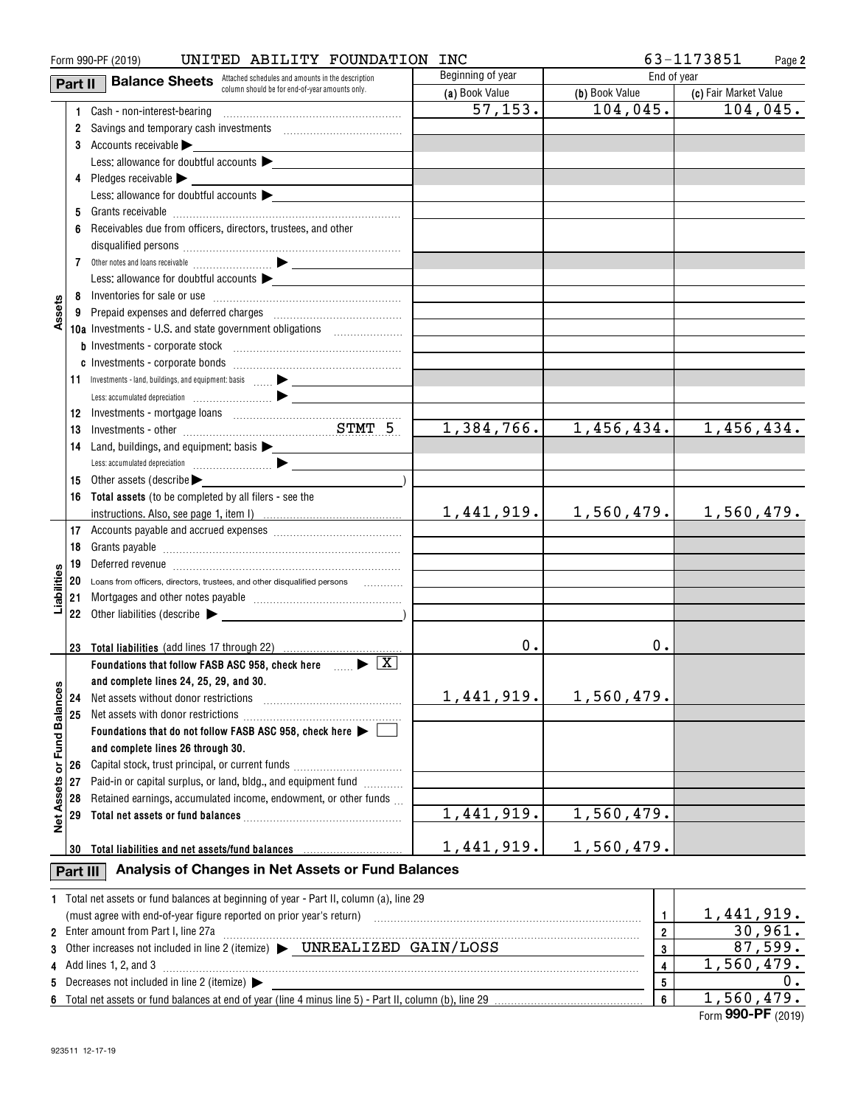|                   |          | UNITED ABILITY FOUNDATION INC<br>Form 990-PF (2019)                                                                                                           |                   |                         | 63-1173851<br>Page 2         |
|-------------------|----------|---------------------------------------------------------------------------------------------------------------------------------------------------------------|-------------------|-------------------------|------------------------------|
|                   | Part II  | <b>Balance Sheets</b> Attached schedules and amounts in the description                                                                                       | Beginning of year | End of year             |                              |
|                   |          | column should be for end-of-year amounts only.                                                                                                                | (a) Book Value    | (b) Book Value          | (c) Fair Market Value        |
|                   |          |                                                                                                                                                               | 57, 153.          | 104, 045.               | 104,045.                     |
|                   |          | 2 Savings and temporary cash investments [111] Savings and temporary cash investments                                                                         |                   |                         |                              |
|                   |          | 3 Accounts receivable                                                                                                                                         |                   |                         |                              |
|                   |          | Less: allowance for doubtful accounts                                                                                                                         |                   |                         |                              |
|                   |          | 4 Pledges receivable >                                                                                                                                        |                   |                         |                              |
|                   |          | Less: allowance for doubtful accounts                                                                                                                         |                   |                         |                              |
|                   | 5        |                                                                                                                                                               |                   |                         |                              |
|                   | 6        | Receivables due from officers, directors, trustees, and other                                                                                                 |                   |                         |                              |
|                   |          |                                                                                                                                                               |                   |                         |                              |
|                   |          |                                                                                                                                                               |                   |                         |                              |
|                   |          |                                                                                                                                                               |                   |                         |                              |
|                   |          | Less: allowance for doubtful accounts $\blacktriangleright$                                                                                                   |                   |                         |                              |
|                   |          |                                                                                                                                                               |                   |                         |                              |
| Assets            |          | 9 Prepaid expenses and deferred charges [11] [11] Prepaid expenses and deferred charges [11] [11] [11] Prepaid                                                |                   |                         |                              |
|                   |          | 10a Investments - U.S. and state government obligations<br>$\overline{\phantom{a}}$                                                                           |                   |                         |                              |
|                   |          |                                                                                                                                                               |                   |                         |                              |
|                   |          |                                                                                                                                                               |                   |                         |                              |
|                   |          |                                                                                                                                                               |                   |                         |                              |
|                   |          |                                                                                                                                                               |                   |                         |                              |
|                   | 12       |                                                                                                                                                               |                   |                         |                              |
|                   | 13       | Investments - other manufactured and STMT 5                                                                                                                   | 1,384,766.        | 1,456,434.              | 1,456,434.                   |
|                   | 14       | Land, buildings, and equipment: basis >                                                                                                                       |                   |                         |                              |
|                   |          |                                                                                                                                                               |                   |                         |                              |
|                   | 15       | Other assets (describe                                                                                                                                        |                   |                         |                              |
|                   |          | 16 Total assets (to be completed by all filers - see the                                                                                                      |                   |                         |                              |
|                   |          |                                                                                                                                                               | 1,441,919.        | 1,560,479.              | 1,560,479.                   |
|                   |          |                                                                                                                                                               |                   |                         |                              |
|                   | 18       |                                                                                                                                                               |                   |                         |                              |
|                   | 19       | Deferred revenue imminimum contracts and the contracts of the contracts and the contracts of the contracts of                                                 |                   |                         |                              |
| Liabilities       | 20       | Loans from officers, directors, trustees, and other disqualified persons                                                                                      |                   |                         |                              |
|                   |          |                                                                                                                                                               |                   |                         |                              |
|                   | 21       |                                                                                                                                                               |                   |                         |                              |
|                   |          | 22 Other liabilities (describe $\blacktriangleright$                                                                                                          |                   |                         |                              |
|                   |          |                                                                                                                                                               |                   |                         |                              |
|                   |          | 23 Total liabilities (add lines 17 through 22)                                                                                                                | 0.                | 0.                      |                              |
|                   |          | Foundations that follow FASB ASC 958, check here $\Box$                                                                                                       |                   |                         |                              |
|                   |          | and complete lines 24, 25, 29, and 30.                                                                                                                        |                   |                         |                              |
|                   | 24       | Net assets without donor restrictions                                                                                                                         | 1,441,919.        | 1,560,479.              |                              |
|                   | 25       | Net assets with donor restrictions                                                                                                                            |                   |                         |                              |
|                   |          | Foundations that do not follow FASB ASC 958, check here $\blacktriangleright$                                                                                 |                   |                         |                              |
| or Fund Balances  |          | and complete lines 26 through 30.                                                                                                                             |                   |                         |                              |
|                   | 26       | Capital stock, trust principal, or current funds                                                                                                              |                   |                         |                              |
|                   | 27       | Paid-in or capital surplus, or land, bldg., and equipment fund                                                                                                |                   |                         |                              |
|                   | 28       | Retained earnings, accumulated income, endowment, or other funds                                                                                              |                   |                         |                              |
| <b>Net Assets</b> | 29       |                                                                                                                                                               | 1,441,919.        | 1,560,479.              |                              |
|                   |          |                                                                                                                                                               |                   |                         |                              |
|                   | 30       | Total liabilities and net assets/fund balances                                                                                                                | 1,441,919.        | 1,560,479.              |                              |
|                   |          | Analysis of Changes in Net Assets or Fund Balances                                                                                                            |                   |                         |                              |
|                   | Part III |                                                                                                                                                               |                   |                         |                              |
|                   |          | 1 Total net assets or fund balances at beginning of year - Part II, column (a), line 29                                                                       |                   |                         |                              |
|                   |          | (must agree with end-of-year figure reported on prior year's return) with an accommutation and agree with end-of-year figure reported on prior year's return) |                   | $\mathbf{1}$            |                              |
|                   |          | 2 Enter amount from Part I, line 27a                                                                                                                          |                   | $\overline{2}$          | $\frac{1,441,919.}{30,961.}$ |
| 3                 |          | Other increases not included in line 2 (itemize) > UNREALIZED GAIN/LOSS                                                                                       |                   | 3                       | 87,599.                      |
|                   |          | 4 Add lines 1, 2, and 3                                                                                                                                       |                   | $\overline{\mathbf{4}}$ | 1,560,479.                   |
|                   |          | 5 Decreases not included in line 2 (itemize) >                                                                                                                |                   | 5                       | υ.                           |
|                   |          |                                                                                                                                                               |                   | 6                       | 1,560,479.                   |

Form (2019) **990-PF** 1,560,479.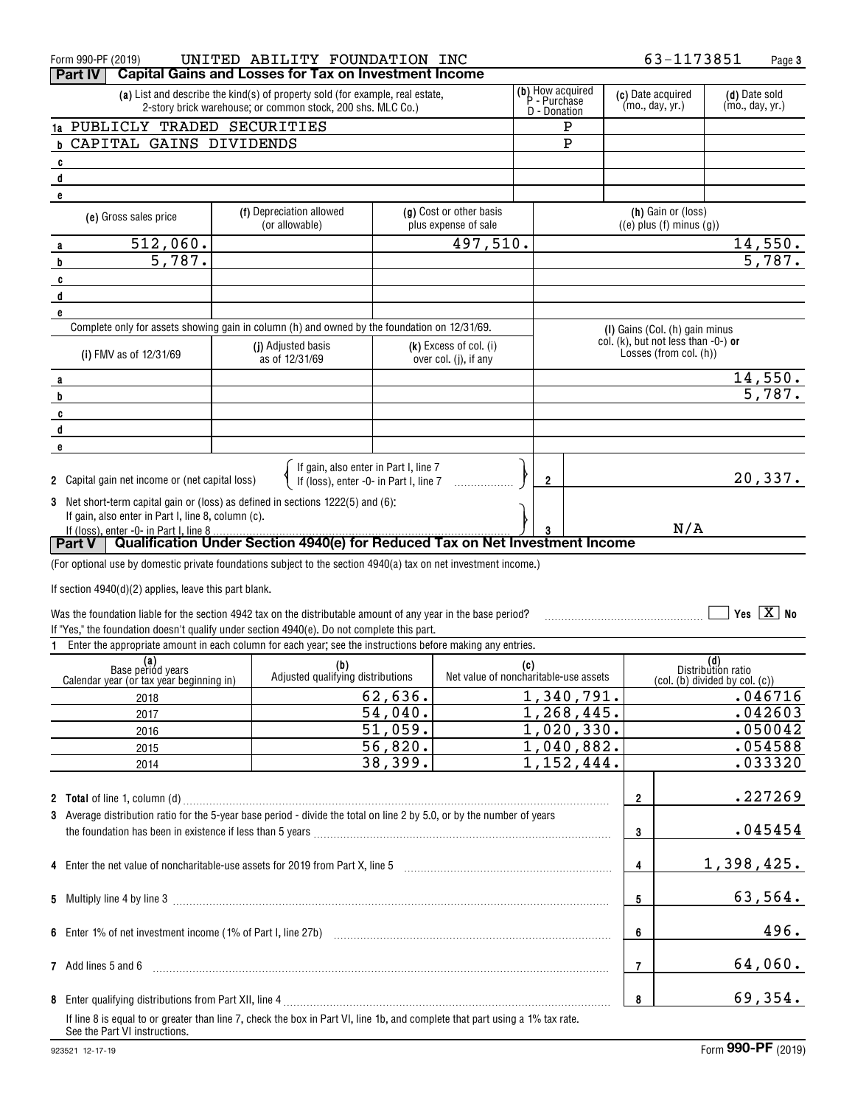|        | Form 990-PF (2019)                                                                                                                                            |                                                                                                                                                                                                  | UNITED ABILITY FOUNDATION INC                                                   |         |                                                   |     |                                      |                    | 63-1173851                                                             |                           | Page 3                               |
|--------|---------------------------------------------------------------------------------------------------------------------------------------------------------------|--------------------------------------------------------------------------------------------------------------------------------------------------------------------------------------------------|---------------------------------------------------------------------------------|---------|---------------------------------------------------|-----|--------------------------------------|--------------------|------------------------------------------------------------------------|---------------------------|--------------------------------------|
|        | <b>Part IV</b>                                                                                                                                                |                                                                                                                                                                                                  | <b>Capital Gains and Losses for Tax on Investment Income</b>                    |         |                                                   |     |                                      |                    |                                                                        |                           |                                      |
|        |                                                                                                                                                               | (b) How acquired<br>(a) List and describe the kind(s) of property sold (for example, real estate,<br>P - Purchase<br>2-story brick warehouse; or common stock, 200 shs. MLC Co.)<br>D - Donation |                                                                                 |         |                                                   |     | (c) Date acquired<br>(mo., day, yr.) |                    | (d) Date sold<br>(mo., day, yr.)                                       |                           |                                      |
|        | 1a PUBLICLY TRADED SECURITIES                                                                                                                                 |                                                                                                                                                                                                  |                                                                                 |         |                                                   |     | P                                    |                    |                                                                        |                           |                                      |
|        | <b>b CAPITAL GAINS DIVIDENDS</b>                                                                                                                              |                                                                                                                                                                                                  |                                                                                 |         |                                                   |     | $\mathbf P$                          |                    |                                                                        |                           |                                      |
| C      |                                                                                                                                                               |                                                                                                                                                                                                  |                                                                                 |         |                                                   |     |                                      |                    |                                                                        |                           |                                      |
| d      |                                                                                                                                                               |                                                                                                                                                                                                  |                                                                                 |         |                                                   |     |                                      |                    |                                                                        |                           |                                      |
| e      |                                                                                                                                                               |                                                                                                                                                                                                  |                                                                                 |         |                                                   |     |                                      |                    |                                                                        |                           |                                      |
|        | (f) Depreciation allowed<br>(g) Cost or other basis<br>(e) Gross sales price<br>plus expense of sale                                                          |                                                                                                                                                                                                  |                                                                                 |         |                                                   |     |                                      | (h) Gain or (loss) |                                                                        |                           |                                      |
|        |                                                                                                                                                               |                                                                                                                                                                                                  | (or allowable)                                                                  |         |                                                   |     |                                      |                    | $((e)$ plus $(f)$ minus $(g)$ )                                        |                           |                                      |
| a      | $\overline{512}$ , 060.<br>$\overline{5,787}$ .                                                                                                               |                                                                                                                                                                                                  |                                                                                 |         | 497,510.                                          |     |                                      |                    |                                                                        |                           | <u>14,550.</u><br>$\frac{1}{5,787.}$ |
| b      |                                                                                                                                                               |                                                                                                                                                                                                  |                                                                                 |         |                                                   |     |                                      |                    |                                                                        |                           |                                      |
| c      |                                                                                                                                                               |                                                                                                                                                                                                  |                                                                                 |         |                                                   |     |                                      |                    |                                                                        |                           |                                      |
| d<br>е |                                                                                                                                                               |                                                                                                                                                                                                  |                                                                                 |         |                                                   |     |                                      |                    |                                                                        |                           |                                      |
|        | Complete only for assets showing gain in column (h) and owned by the foundation on 12/31/69.                                                                  |                                                                                                                                                                                                  |                                                                                 |         |                                                   |     |                                      |                    | (I) Gains (Col. (h) gain minus                                         |                           |                                      |
|        | (i) FMV as of 12/31/69                                                                                                                                        |                                                                                                                                                                                                  | (j) Adjusted basis<br>as of 12/31/69                                            |         | $(k)$ Excess of col. (i)<br>over col. (j), if any |     |                                      |                    | col. (k), but not less than -0-) or<br>Losses (from col. (h))          |                           |                                      |
|        |                                                                                                                                                               |                                                                                                                                                                                                  |                                                                                 |         |                                                   |     |                                      |                    |                                                                        |                           |                                      |
| a<br>b |                                                                                                                                                               |                                                                                                                                                                                                  |                                                                                 |         |                                                   |     |                                      |                    |                                                                        |                           | $\frac{14,550}{5,787}$ .             |
| c      |                                                                                                                                                               |                                                                                                                                                                                                  |                                                                                 |         |                                                   |     |                                      |                    |                                                                        |                           |                                      |
| d      |                                                                                                                                                               |                                                                                                                                                                                                  |                                                                                 |         |                                                   |     |                                      |                    |                                                                        |                           |                                      |
| е      |                                                                                                                                                               |                                                                                                                                                                                                  |                                                                                 |         |                                                   |     |                                      |                    |                                                                        |                           |                                      |
|        | 2 Capital gain net income or (net capital loss)                                                                                                               |                                                                                                                                                                                                  | If gain, also enter in Part I, line 7<br>If (loss), enter -0- in Part I, line 7 |         |                                                   |     | 2                                    |                    |                                                                        |                           | 20,337.                              |
|        |                                                                                                                                                               |                                                                                                                                                                                                  |                                                                                 |         |                                                   |     |                                      |                    |                                                                        |                           |                                      |
|        | 3 Net short-term capital gain or (loss) as defined in sections 1222(5) and (6):<br>If gain, also enter in Part I, line 8, column (c).                         |                                                                                                                                                                                                  |                                                                                 |         |                                                   |     |                                      |                    |                                                                        |                           |                                      |
|        | If (loss), enter -0- in Part I, line 8                                                                                                                        | . <u>.</u>                                                                                                                                                                                       |                                                                                 |         |                                                   |     |                                      |                    | N/A                                                                    |                           |                                      |
|        | <b>Part V</b>   Qualification Under Section 4940(e) for Reduced Tax on Net Investment Income                                                                  |                                                                                                                                                                                                  |                                                                                 |         |                                                   |     |                                      |                    |                                                                        |                           |                                      |
|        | (For optional use by domestic private foundations subject to the section 4940(a) tax on net investment income.)                                               |                                                                                                                                                                                                  |                                                                                 |         |                                                   |     |                                      |                    |                                                                        |                           |                                      |
|        |                                                                                                                                                               |                                                                                                                                                                                                  |                                                                                 |         |                                                   |     |                                      |                    |                                                                        |                           |                                      |
|        | If section $4940(d)(2)$ applies, leave this part blank.                                                                                                       |                                                                                                                                                                                                  |                                                                                 |         |                                                   |     |                                      |                    |                                                                        |                           |                                      |
|        | Was the foundation liable for the section 4942 tax on the distributable amount of any year in the base period?                                                |                                                                                                                                                                                                  |                                                                                 |         |                                                   |     |                                      |                    |                                                                        |                           | Yes $X$ No                           |
|        | If "Yes," the foundation doesn't qualify under section 4940(e). Do not complete this part.                                                                    |                                                                                                                                                                                                  |                                                                                 |         |                                                   |     |                                      |                    |                                                                        |                           |                                      |
|        | Enter the appropriate amount in each column for each year; see the instructions before making any entries.                                                    |                                                                                                                                                                                                  |                                                                                 |         |                                                   |     |                                      |                    |                                                                        |                           |                                      |
|        | (a)<br>Base period years                                                                                                                                      |                                                                                                                                                                                                  | (b)<br>Adjusted qualifying distributions                                        |         | Net value of noncharitable-use assets             | (c) |                                      |                    |                                                                        | (d)<br>Distribution ratio |                                      |
|        | Calendar year (or tax year beginning in)                                                                                                                      |                                                                                                                                                                                                  |                                                                                 | 62,636. |                                                   |     | 1,340,791.                           |                    | $\overline{c}$ (col. $\overline{b}$ ) divided by col. $\overline{c}$ ) |                           | .046716                              |
|        | 2018<br>2017                                                                                                                                                  |                                                                                                                                                                                                  |                                                                                 | 54,040. |                                                   |     | 1,268,445.                           |                    |                                                                        |                           | .042603                              |
|        | 2016                                                                                                                                                          |                                                                                                                                                                                                  |                                                                                 | 51,059. |                                                   |     | 1,020,330.                           |                    |                                                                        |                           | .050042                              |
|        | 2015                                                                                                                                                          |                                                                                                                                                                                                  |                                                                                 | 56,820. |                                                   |     | 1,040,882.                           |                    |                                                                        |                           | .054588                              |
|        | 2014                                                                                                                                                          |                                                                                                                                                                                                  |                                                                                 | 38,399. |                                                   |     | 1,152,444.                           |                    |                                                                        |                           | .033320                              |
|        |                                                                                                                                                               |                                                                                                                                                                                                  |                                                                                 |         |                                                   |     |                                      |                    |                                                                        |                           |                                      |
|        |                                                                                                                                                               |                                                                                                                                                                                                  |                                                                                 |         |                                                   |     |                                      | $\overline{2}$     |                                                                        |                           | .227269                              |
|        | 3 Average distribution ratio for the 5-year base period - divide the total on line 2 by 5.0, or by the number of years                                        |                                                                                                                                                                                                  |                                                                                 |         |                                                   |     |                                      |                    |                                                                        |                           |                                      |
|        |                                                                                                                                                               |                                                                                                                                                                                                  |                                                                                 |         |                                                   |     |                                      | 3                  |                                                                        |                           | .045454                              |
|        |                                                                                                                                                               |                                                                                                                                                                                                  |                                                                                 |         |                                                   |     |                                      |                    |                                                                        |                           |                                      |
|        |                                                                                                                                                               |                                                                                                                                                                                                  |                                                                                 |         |                                                   |     |                                      | 4                  |                                                                        |                           | 1,398,425.                           |
|        |                                                                                                                                                               |                                                                                                                                                                                                  |                                                                                 |         |                                                   |     |                                      |                    |                                                                        |                           |                                      |
|        |                                                                                                                                                               |                                                                                                                                                                                                  |                                                                                 |         |                                                   |     |                                      | 5                  |                                                                        |                           | 63,564.                              |
|        |                                                                                                                                                               |                                                                                                                                                                                                  |                                                                                 |         |                                                   |     |                                      |                    |                                                                        |                           |                                      |
|        |                                                                                                                                                               |                                                                                                                                                                                                  |                                                                                 |         |                                                   |     |                                      | 6                  |                                                                        |                           | 496.                                 |
|        |                                                                                                                                                               |                                                                                                                                                                                                  |                                                                                 |         |                                                   |     |                                      |                    |                                                                        |                           |                                      |
|        | 7 Add lines 5 and 6                                                                                                                                           |                                                                                                                                                                                                  |                                                                                 |         |                                                   |     |                                      | $\overline{7}$     |                                                                        |                           | 64,060.                              |
|        |                                                                                                                                                               |                                                                                                                                                                                                  |                                                                                 |         |                                                   |     |                                      | 8                  |                                                                        |                           | 69,354.                              |
|        | If line 8 is equal to or greater than line 7, check the box in Part VI, line 1b, and complete that part using a 1% tax rate.<br>See the Part VI instructions. |                                                                                                                                                                                                  |                                                                                 |         |                                                   |     |                                      |                    |                                                                        |                           |                                      |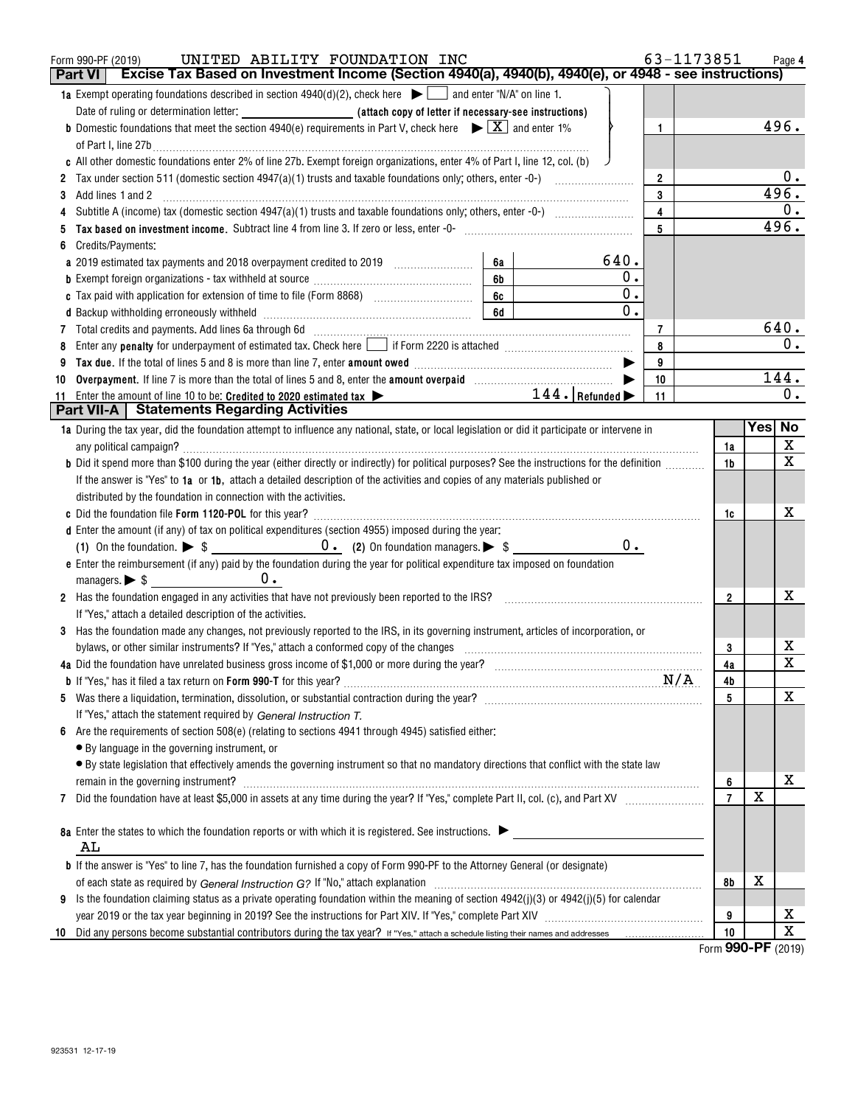|    | UNITED ABILITY FOUNDATION INC<br>Form 990-PF (2019)                                                                                                                                                                                  |                         | 63-1173851          |             | Page 4                  |
|----|--------------------------------------------------------------------------------------------------------------------------------------------------------------------------------------------------------------------------------------|-------------------------|---------------------|-------------|-------------------------|
|    | Excise Tax Based on Investment Income (Section 4940(a), 4940(b), 4940(e), or 4948 - see instructions)<br>Part VI                                                                                                                     |                         |                     |             |                         |
|    | 1a Exempt operating foundations described in section $4940(d)(2)$ , check here $\blacktriangleright$ and enter "N/A" on line 1.                                                                                                      |                         |                     |             |                         |
|    |                                                                                                                                                                                                                                      |                         |                     |             |                         |
|    | <b>b</b> Domestic foundations that meet the section 4940(e) requirements in Part V, check here $\blacktriangleright \boxed{X}$ and enter 1%                                                                                          | $\mathbf{1}$            |                     |             | 496.                    |
|    | of Part I, line 27b                                                                                                                                                                                                                  |                         |                     |             |                         |
|    | c All other domestic foundations enter 2% of line 27b. Exempt foreign organizations, enter 4% of Part I, line 12, col. (b)                                                                                                           |                         |                     |             |                         |
|    |                                                                                                                                                                                                                                      | $\overline{2}$          |                     |             | 0.                      |
|    |                                                                                                                                                                                                                                      | 3                       |                     |             | 496.                    |
|    |                                                                                                                                                                                                                                      | $\overline{\mathbf{4}}$ |                     |             | 0.                      |
|    |                                                                                                                                                                                                                                      | 5                       |                     |             | 496.                    |
|    | Credits/Payments:                                                                                                                                                                                                                    |                         |                     |             |                         |
|    | 640.<br>6a<br>a 2019 estimated tax payments and 2018 overpayment credited to 2019 [11, 12, 13, 13, 13, 13, 13, 13, 13, 13, 1                                                                                                         |                         |                     |             |                         |
|    | 6 <b>b</b>                                                                                                                                                                                                                           | $\mathbf 0$ .           |                     |             |                         |
|    |                                                                                                                                                                                                                                      | $\overline{0}$ .        |                     |             |                         |
|    |                                                                                                                                                                                                                                      | $\overline{0}$ .        |                     |             |                         |
|    | 6d<br>d Backup withholding erroneously withheld [11] [11] contains an example and a series and a series and series and series and series and series and series and series and series and series and series and series and series and |                         |                     |             |                         |
|    | 7 Total credits and payments. Add lines 6a through 6d [11] [12] Martin Martin Martin Martin Martin Martin Martin Martin Martin Martin Martin Martin Martin Martin Martin Martin Martin Martin Martin Martin Martin Martin Mart       | 7                       |                     |             | 640.<br>0.              |
|    | Enter any <b>penalty</b> for underpayment of estimated tax. Check here <b>Leap if Form 2220</b> is attached <i>manumenomention</i>                                                                                                   | 8                       |                     |             |                         |
|    |                                                                                                                                                                                                                                      | 9                       |                     |             |                         |
| 10 |                                                                                                                                                                                                                                      | 10                      |                     |             | 144.                    |
|    | $\overbrace{\hspace{2.5cm}}$ $144.$ $\overline{\hspace{1.5cm}}$ Refunded $\blacktriangleright$<br>11 Enter the amount of line 10 to be: Credited to 2020 estimated tax >                                                             | 11                      |                     |             | 0.                      |
|    | Part VII-A   Statements Regarding Activities                                                                                                                                                                                         |                         |                     |             |                         |
|    | 1a During the tax year, did the foundation attempt to influence any national, state, or local legislation or did it participate or intervene in                                                                                      |                         |                     | Yes No      |                         |
|    |                                                                                                                                                                                                                                      |                         | 1a                  |             | X                       |
|    | b Did it spend more than \$100 during the year (either directly or indirectly) for political purposes? See the instructions for the definition                                                                                       |                         | 1b                  |             | $\overline{\mathbf{x}}$ |
|    | If the answer is "Yes" to 1a or 1b, attach a detailed description of the activities and copies of any materials published or                                                                                                         |                         |                     |             |                         |
|    | distributed by the foundation in connection with the activities.                                                                                                                                                                     |                         |                     |             |                         |
|    |                                                                                                                                                                                                                                      |                         | 1c                  |             | x                       |
|    | d Enter the amount (if any) of tax on political expenditures (section 4955) imposed during the year:                                                                                                                                 |                         |                     |             |                         |
|    |                                                                                                                                                                                                                                      | $0$ .                   |                     |             |                         |
|    | e Enter the reimbursement (if any) paid by the foundation during the year for political expenditure tax imposed on foundation                                                                                                        |                         |                     |             |                         |
|    |                                                                                                                                                                                                                                      |                         |                     |             |                         |
|    | 2 Has the foundation engaged in any activities that have not previously been reported to the IRS? [[[[[[[[[[[ [[ [ [ [ [ [ ]]]]]]]                                                                                                   |                         | $\overline{2}$      |             | x                       |
|    | If "Yes," attach a detailed description of the activities.                                                                                                                                                                           |                         |                     |             |                         |
|    | 3 Has the foundation made any changes, not previously reported to the IRS, in its governing instrument, articles of incorporation, or                                                                                                |                         |                     |             |                         |
|    | bylaws, or other similar instruments? If "Yes," attach a conformed copy of the changes                                                                                                                                               |                         | 3                   |             | x                       |
|    |                                                                                                                                                                                                                                      |                         | 4a                  |             | $\overline{\mathbf{x}}$ |
|    |                                                                                                                                                                                                                                      |                         | 4b                  |             |                         |
|    |                                                                                                                                                                                                                                      |                         | 5                   |             | х                       |
|    | If "Yes," attach the statement required by General Instruction T.                                                                                                                                                                    |                         |                     |             |                         |
| 6  | Are the requirements of section 508(e) (relating to sections 4941 through 4945) satisfied either:                                                                                                                                    |                         |                     |             |                         |
|    | • By language in the governing instrument, or                                                                                                                                                                                        |                         |                     |             |                         |
|    | · By state legislation that effectively amends the governing instrument so that no mandatory directions that conflict with the state law                                                                                             |                         |                     |             |                         |
|    |                                                                                                                                                                                                                                      |                         |                     |             | х                       |
|    | remain in the governing instrument?                                                                                                                                                                                                  |                         | 6<br>$\overline{7}$ | $\mathbf x$ |                         |
| 7  |                                                                                                                                                                                                                                      |                         |                     |             |                         |
|    |                                                                                                                                                                                                                                      |                         |                     |             |                         |
|    | 8a Enter the states to which the foundation reports or with which it is registered. See instructions.                                                                                                                                |                         |                     |             |                         |
|    | AL                                                                                                                                                                                                                                   |                         |                     |             |                         |
|    | <b>b</b> If the answer is "Yes" to line 7, has the foundation furnished a copy of Form 990-PF to the Attorney General (or designate)                                                                                                 |                         |                     |             |                         |
|    |                                                                                                                                                                                                                                      |                         | 8b                  | х           |                         |
| 9  | Is the foundation claiming status as a private operating foundation within the meaning of section 4942(j)(3) or 4942(j)(5) for calendar                                                                                              |                         |                     |             |                         |
|    |                                                                                                                                                                                                                                      |                         | 9                   |             | х                       |
| 10 |                                                                                                                                                                                                                                      |                         | 10                  |             | $\overline{\mathtt{x}}$ |

Form (2019) **990-PF**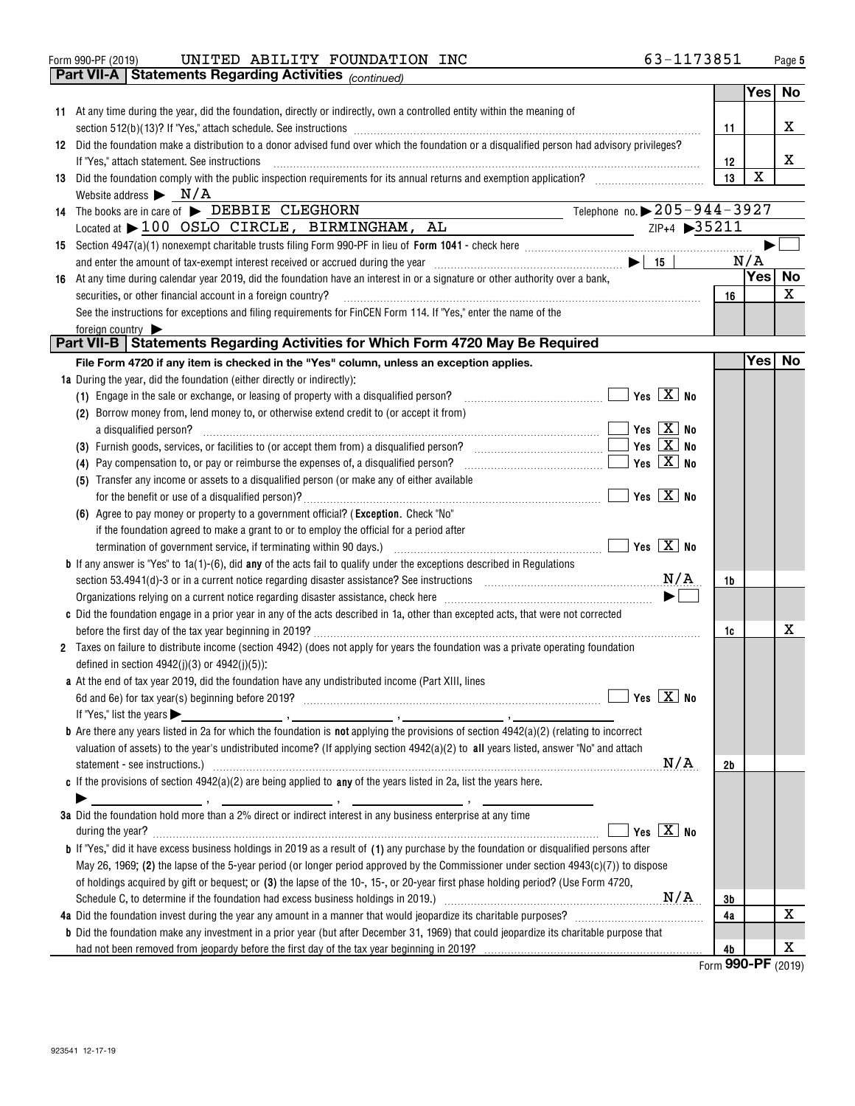| 63-1173851<br>UNITED ABILITY FOUNDATION INC<br>Form 990-PF (2019) | Page |
|-------------------------------------------------------------------|------|
|-------------------------------------------------------------------|------|

**Part VII-A Statements Regarding Activities** 

| <b>Part VII-A</b>   Statements Regarding Activities $_{(continued)}$                                                                              |    |        |           |
|---------------------------------------------------------------------------------------------------------------------------------------------------|----|--------|-----------|
|                                                                                                                                                   |    | Yes    | No        |
| 11 At any time during the year, did the foundation, directly or indirectly, own a controlled entity within the meaning of                         |    |        |           |
|                                                                                                                                                   | 11 |        | X         |
| 12 Did the foundation make a distribution to a donor advised fund over which the foundation or a disqualified person had advisory privileges?     |    |        |           |
| If "Yes," attach statement. See instructions                                                                                                      | 12 |        | X         |
| 13 Did the foundation comply with the public inspection requirements for its annual returns and exemption application?                            | 13 | X      |           |
| Website address $\triangleright$ N/A                                                                                                              |    |        |           |
| Telephone no. $\triangleright$ 205-944-3927<br>14 The books are in care of > DEBBIE CLEGHORN                                                      |    |        |           |
| Located at $\blacktriangleright$ 100 OSLO CIRCLE, BIRMINGHAM, AL                                                                                  |    |        |           |
|                                                                                                                                                   |    |        |           |
|                                                                                                                                                   |    | N/A    |           |
| 16 At any time during calendar year 2019, did the foundation have an interest in or a signature or other authority over a bank,                   |    | Yes    | <b>No</b> |
| securities, or other financial account in a foreign country?                                                                                      | 16 |        | x         |
| See the instructions for exceptions and filing requirements for FinCEN Form 114. If "Yes," enter the name of the                                  |    |        |           |
| foreign country                                                                                                                                   |    |        |           |
| Part VII-B Statements Regarding Activities for Which Form 4720 May Be Required                                                                    |    |        |           |
| File Form 4720 if any item is checked in the "Yes" column, unless an exception applies.                                                           |    | Yes No |           |
| 1a During the year, did the foundation (either directly or indirectly):                                                                           |    |        |           |
| (1) Engage in the sale or exchange, or leasing of property with a disqualified person?                                                            |    |        |           |
| (2) Borrow money from, lend money to, or otherwise extend credit to (or accept it from)                                                           |    |        |           |
| a disqualified person? $\Box$ No                                                                                                                  |    |        |           |
|                                                                                                                                                   |    |        |           |
| (4) Pay compensation to, or pay or reimburse the expenses of, a disqualified person?                                                              |    |        |           |
| (5) Transfer any income or assets to a disqualified person (or make any of either available                                                       |    |        |           |
|                                                                                                                                                   |    |        |           |
| (6) Agree to pay money or property to a government official? (Exception. Check "No"                                                               |    |        |           |
| if the foundation agreed to make a grant to or to employ the official for a period after                                                          |    |        |           |
|                                                                                                                                                   |    |        |           |
| <b>b</b> If any answer is "Yes" to $1a(1)-(6)$ , did any of the acts fail to qualify under the exceptions described in Regulations                |    |        |           |
| section 53.4941(d)-3 or in a current notice regarding disaster assistance? See instructions $M/A$                                                 | 1b |        |           |
|                                                                                                                                                   |    |        |           |
| c Did the foundation engage in a prior year in any of the acts described in 1a, other than excepted acts, that were not corrected                 |    |        |           |
|                                                                                                                                                   | 1c |        | х         |
| 2 Taxes on failure to distribute income (section 4942) (does not apply for years the foundation was a private operating foundation                |    |        |           |
| defined in section $4942(j)(3)$ or $4942(j)(5)$ :                                                                                                 |    |        |           |
| a At the end of tax year 2019, did the foundation have any undistributed income (Part XIII, lines                                                 |    |        |           |
| Yes $X$ No<br>6d and 6e) for tax year(s) beginning before 2019?                                                                                   |    |        |           |
| If "Yes," list the years $\blacktriangleright$                                                                                                    |    |        |           |
| $\mathbf b$ Are there any years listed in 2a for which the foundation is not applying the provisions of section 4942(a)(2) (relating to incorrect |    |        |           |
| valuation of assets) to the year's undistributed income? (If applying section $4942(a)(2)$ to all years listed, answer "No" and attach<br>N/A     |    |        |           |
|                                                                                                                                                   | 2b |        |           |
| c If the provisions of section $4942(a)(2)$ are being applied to any of the years listed in 2a, list the years here.                              |    |        |           |
| 3a Did the foundation hold more than a 2% direct or indirect interest in any business enterprise at any time                                      |    |        |           |
| Yes $\boxed{\mathbf{X}}$ No                                                                                                                       |    |        |           |
| <b>b</b> If "Yes," did it have excess business holdings in 2019 as a result of (1) any purchase by the foundation or disqualified persons after   |    |        |           |
|                                                                                                                                                   |    |        |           |
| May 26, 1969; (2) the lapse of the 5-year period (or longer period approved by the Commissioner under section $4943(c)(7)$ ) to dispose           |    |        |           |
| of holdings acquired by gift or bequest; or (3) the lapse of the 10-, 15-, or 20-year first phase holding period? (Use Form 4720,                 |    |        |           |
|                                                                                                                                                   | 3b |        | х         |
|                                                                                                                                                   | 4a |        |           |
| <b>b</b> Did the foundation make any investment in a prior year (but after December 31, 1969) that could jeopardize its charitable purpose that   |    |        | x         |
| had not been removed from jeopardy before the first day of the tax year beginning in 2019?                                                        | 4b |        |           |

Form (2019) **990-PF**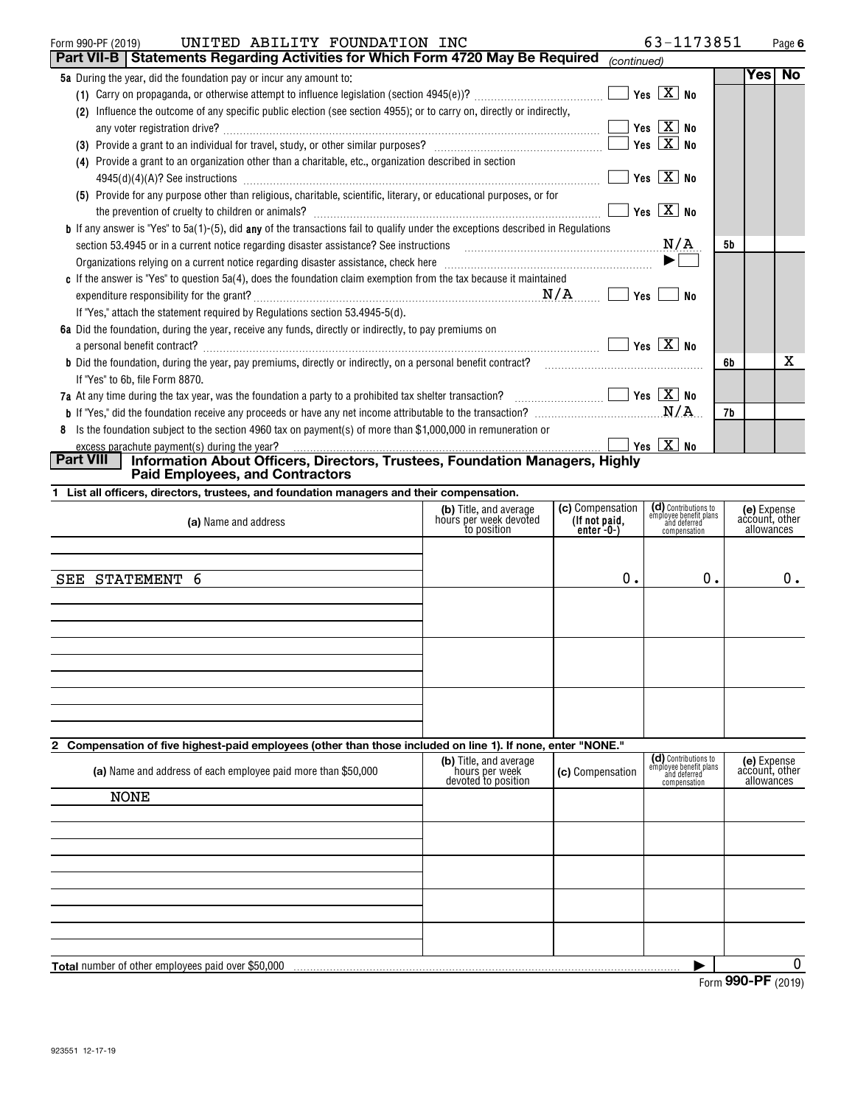| UNITED ABILITY FOUNDATION INC<br>Form 990-PF (2019)                                                                                                                                    | 63-1173851                             |           |     | Page 6 |
|----------------------------------------------------------------------------------------------------------------------------------------------------------------------------------------|----------------------------------------|-----------|-----|--------|
| Part VII-B   Statements Regarding Activities for Which Form 4720 May Be Required                                                                                                       | (continued)                            |           |     |        |
| <b>5a</b> During the year, did the foundation pay or incur any amount to:                                                                                                              |                                        |           | Yes | No     |
|                                                                                                                                                                                        | $\sqrt{}$ Yes $\sqrt{}$ X $\sqrt{}$ No |           |     |        |
| Influence the outcome of any specific public election (see section 4955); or to carry on, directly or indirectly,<br>(2)                                                               |                                        |           |     |        |
|                                                                                                                                                                                        | Yes $X$ No                             |           |     |        |
| Provide a grant to an individual for travel, study, or other similar purposes?<br>(3)                                                                                                  | Yes $X$ No                             |           |     |        |
| Provide a grant to an organization other than a charitable, etc., organization described in section<br>(4)                                                                             |                                        |           |     |        |
|                                                                                                                                                                                        | Yes $\boxed{X}$ No                     |           |     |        |
| (5) Provide for any purpose other than religious, charitable, scientific, literary, or educational purposes, or for                                                                    |                                        |           |     |        |
|                                                                                                                                                                                        | Yes $X$ No                             |           |     |        |
| <b>b</b> If any answer is "Yes" to 5a(1)-(5), did any of the transactions fail to qualify under the exceptions described in Regulations                                                |                                        |           |     |        |
| section 53.4945 or in a current notice regarding disaster assistance? See instructions [11,111] section 53.4945 or in a current notice regarding disaster assistance? See instructions | N/A                                    | <b>5b</b> |     |        |
|                                                                                                                                                                                        | $\blacktriangleright$                  |           |     |        |
| c If the answer is "Yes" to question 5a(4), does the foundation claim exemption from the tax because it maintained                                                                     |                                        |           |     |        |
| N/A                                                                                                                                                                                    | Yes<br>No                              |           |     |        |
| If "Yes," attach the statement required by Regulations section 53.4945-5(d).                                                                                                           |                                        |           |     |        |
| 6a Did the foundation, during the year, receive any funds, directly or indirectly, to pay premiums on                                                                                  |                                        |           |     |        |
| a personal benefit contract?                                                                                                                                                           | Yes $\boxed{\mathbf{X}}$ No            |           |     |        |
| <b>b</b> Did the foundation, during the year, pay premiums, directly or indirectly, on a personal benefit contract?                                                                    |                                        | 6b        |     | х      |
| If "Yes" to 6b, file Form 8870.                                                                                                                                                        |                                        |           |     |        |
| 7a At any time during the tax year, was the foundation a party to a prohibited tax shelter transaction? $\ldots$ $\ldots$ $\ldots$                                                     |                                        |           |     |        |
|                                                                                                                                                                                        | .N/A                                   | 7b        |     |        |
| 8 Is the foundation subject to the section 4960 tax on payment(s) of more than \$1,000,000 in remuneration or                                                                          |                                        |           |     |        |

|           | excess parachute payment(s) during the year?                                 | $\sqrt{}$ Yes $\sqrt{}$ X $\sqrt{}$ No |  |
|-----------|------------------------------------------------------------------------------|----------------------------------------|--|
| Part VIII | Information About Officers, Directors, Trustees, Foundation Managers, Highly |                                        |  |
|           | <b>Paid Employees, and Contractors</b>                                       |                                        |  |

|  |  |  |  |  | 1 List all officers, directors, trustees, and foundation managers and their compensation. |  |  |  |
|--|--|--|--|--|-------------------------------------------------------------------------------------------|--|--|--|
|--|--|--|--|--|-------------------------------------------------------------------------------------------|--|--|--|

| (a) Name and address | (b) Title, and average<br>hours per week devoted<br>to position | (c) Compensation<br>(If not paid,<br>$enter -0-$ | (d) Contributions to<br>employee benefit plans<br>and deferred<br>compensation | (e) Expense<br>account, other<br>allowances |
|----------------------|-----------------------------------------------------------------|--------------------------------------------------|--------------------------------------------------------------------------------|---------------------------------------------|
|                      |                                                                 |                                                  |                                                                                |                                             |
| SEE STATEMENT 6      |                                                                 | 0.                                               | 0.                                                                             | $0$ .                                       |
|                      |                                                                 |                                                  |                                                                                |                                             |
|                      |                                                                 |                                                  |                                                                                |                                             |
|                      |                                                                 |                                                  |                                                                                |                                             |

### **2 Compensation of five highest-paid employees (other than those included on line 1). If none, enter "NONE."**

| (a) Name and address of each employee paid more than \$50,000 | (b) Title, and average<br>hours per week<br>devoted to position | (c) Compensation | (d) Contributions to<br>employee benefit plans<br>and deferred<br>compensation | (e) Expense<br>account, other<br>allowances |
|---------------------------------------------------------------|-----------------------------------------------------------------|------------------|--------------------------------------------------------------------------------|---------------------------------------------|
| <b>NONE</b>                                                   |                                                                 |                  |                                                                                |                                             |
|                                                               |                                                                 |                  |                                                                                |                                             |
|                                                               |                                                                 |                  |                                                                                |                                             |
|                                                               |                                                                 |                  |                                                                                |                                             |
|                                                               |                                                                 |                  |                                                                                |                                             |
|                                                               |                                                                 |                  |                                                                                |                                             |
|                                                               |                                                                 |                  |                                                                                |                                             |
|                                                               |                                                                 |                  |                                                                                |                                             |
|                                                               |                                                                 |                  |                                                                                |                                             |
|                                                               |                                                                 |                  |                                                                                |                                             |
| <b>Total</b> number of other employees paid over \$50,000     |                                                                 |                  |                                                                                | 0                                           |
|                                                               |                                                                 |                  | $\sim$                                                                         | $000 \text{ DE}$                            |

Form (2019) **990-PF**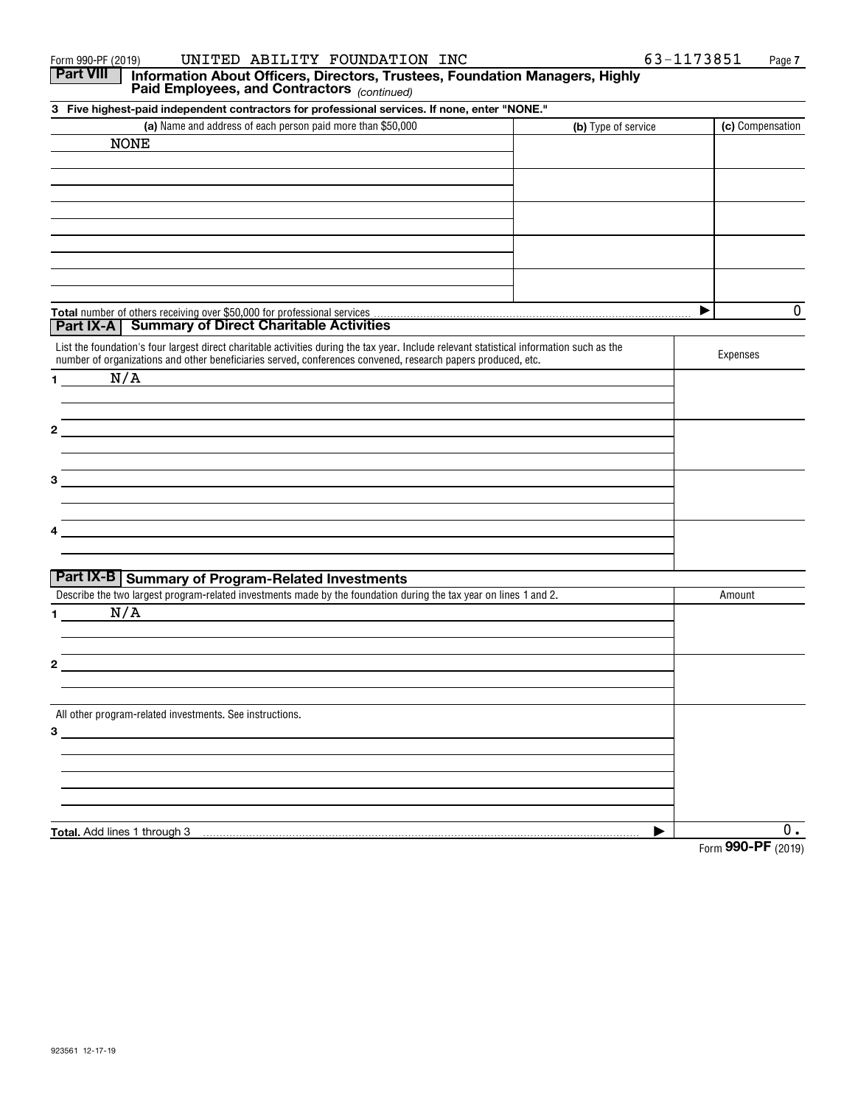| UNITED ABILITY FOUNDATION INC<br>Form 990-PF (2019)                                                                                             |                     | 63-1173851<br>Page 7 |
|-------------------------------------------------------------------------------------------------------------------------------------------------|---------------------|----------------------|
| <b>Part VIII</b><br>Information About Officers, Directors, Trustees, Foundation Managers, Highly<br>Paid Employees, and Contractors (continued) |                     |                      |
| 3 Five highest-paid independent contractors for professional services. If none, enter "NONE."                                                   |                     |                      |
| (a) Name and address of each person paid more than \$50,000                                                                                     | (b) Type of service | (c) Compensation     |
| <b>NONE</b>                                                                                                                                     |                     |                      |
|                                                                                                                                                 |                     |                      |
|                                                                                                                                                 |                     |                      |
|                                                                                                                                                 |                     |                      |
|                                                                                                                                                 |                     |                      |
|                                                                                                                                                 |                     |                      |
|                                                                                                                                                 |                     |                      |
|                                                                                                                                                 |                     |                      |
|                                                                                                                                                 |                     |                      |
|                                                                                                                                                 |                     | 0<br>▶               |
| Part IX-A   Summary of Direct Charitable Activities                                                                                             |                     |                      |
| List the foundation's four largest direct charitable activities during the tax year. Include relevant statistical information such as the       |                     |                      |
| number of organizations and other beneficiaries served, conferences convened, research papers produced, etc.                                    |                     | Expenses             |
| N/A<br>$\mathbf 1$                                                                                                                              |                     |                      |
|                                                                                                                                                 |                     |                      |
|                                                                                                                                                 |                     |                      |
| 2                                                                                                                                               |                     |                      |
|                                                                                                                                                 |                     |                      |
|                                                                                                                                                 |                     |                      |
| 3                                                                                                                                               |                     |                      |
|                                                                                                                                                 |                     |                      |
|                                                                                                                                                 |                     |                      |
|                                                                                                                                                 |                     |                      |
|                                                                                                                                                 |                     |                      |
| Part IX-B Summary of Program-Related Investments                                                                                                |                     |                      |
| Describe the two largest program-related investments made by the foundation during the tax year on lines 1 and 2.                               |                     | Amount               |
| N/A<br>1.                                                                                                                                       |                     |                      |
|                                                                                                                                                 |                     |                      |
|                                                                                                                                                 |                     |                      |
| 2                                                                                                                                               |                     |                      |
|                                                                                                                                                 |                     |                      |
| All other program-related investments. See instructions.                                                                                        |                     |                      |
| 3                                                                                                                                               |                     |                      |
|                                                                                                                                                 |                     |                      |
|                                                                                                                                                 |                     |                      |
|                                                                                                                                                 |                     |                      |
|                                                                                                                                                 |                     |                      |
|                                                                                                                                                 |                     |                      |
| Total. Add lines 1 through 3                                                                                                                    |                     | О.<br>000 DE         |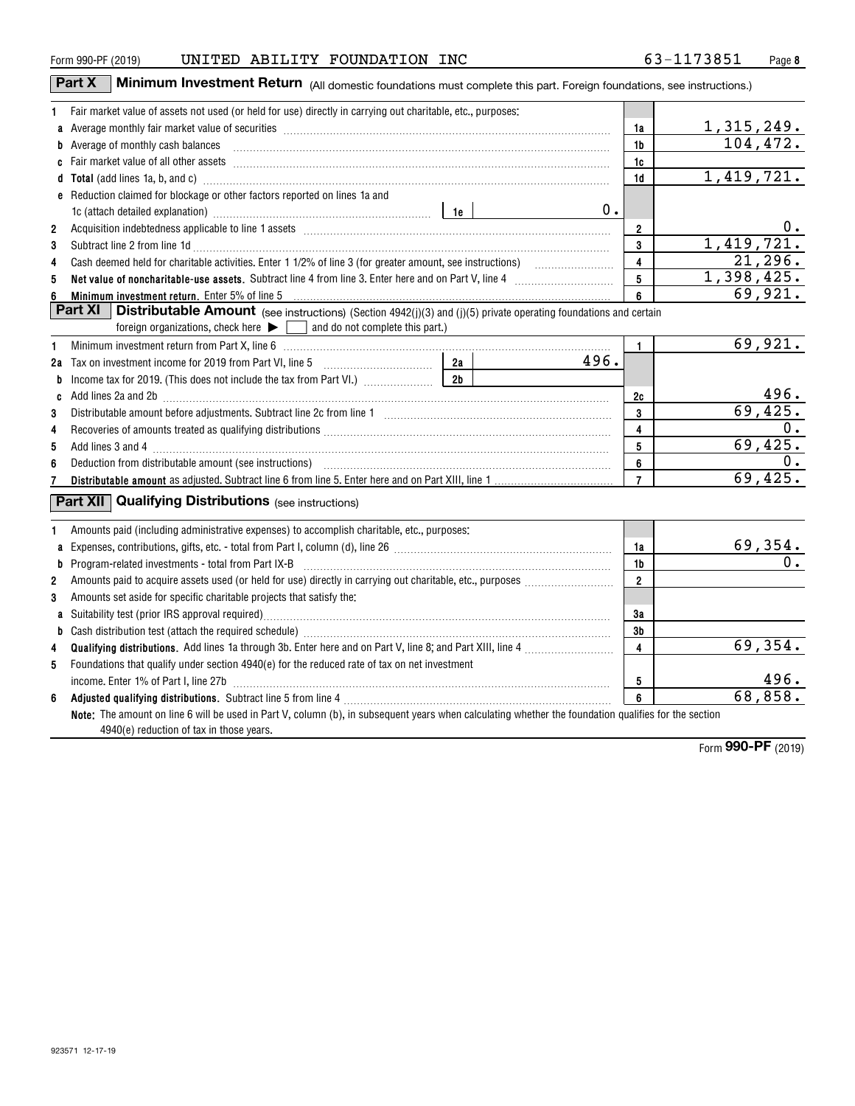| Form 990-PF (2019) |  | UNITED ABILITY FOUNDATION INC                                                                               | 63-1173851                                                                                                           | Page |
|--------------------|--|-------------------------------------------------------------------------------------------------------------|----------------------------------------------------------------------------------------------------------------------|------|
| <b>Part X</b>      |  |                                                                                                             | Minimum Investment Return (All domestic foundations must complete this part. Foreign foundations, see instructions.) |      |
|                    |  | Fair market value of assets not used (or held for use) directly in carrying out charitable, etc., purposes: |                                                                                                                      |      |

|                | Fair market value of assets not used (or held for use) directly in carrying out charitable, etc., purposes:                                                                                                                                                           |                |                          |
|----------------|-----------------------------------------------------------------------------------------------------------------------------------------------------------------------------------------------------------------------------------------------------------------------|----------------|--------------------------|
|                | a Average monthly fair market value of securities [111] match match match and a securities with the securities match and a securities and a securities and a securities and a securities and a securities and a securities are                                        | 1a             | 1,315,249.               |
| b              | Average of monthly cash balances<br>$\frac{1}{2}$ . The continuum continuum continuum continuum continuum continuum continuum continuum continuum continuum continuum continuum continuum continuum continuum continuum continuum continuum continuum continuum conti | 1b             | 104, 472.                |
| C              | Fair market value of all other assets manufactured and an annual contract of all other assets market value of all other assets                                                                                                                                        | 1c             |                          |
|                | Total (add lines 1a, b, and c) manufactured and contract the contract of the contract of the contract of the contract of the contract of the contract of the contract of the contract of the contract of the contract of the c                                        | 1d             | 1,419,721.               |
|                | e Reduction claimed for blockage or other factors reported on lines 1a and                                                                                                                                                                                            |                |                          |
|                | 0.                                                                                                                                                                                                                                                                    |                |                          |
| $\overline{2}$ |                                                                                                                                                                                                                                                                       | $\overline{2}$ | 0.                       |
| 3              | Subtract line 2 from line 1d <b>Machinese and Contract Contract Lines</b> and Table 1d (2011)                                                                                                                                                                         | 3              | 1,419,721.               |
| 4              |                                                                                                                                                                                                                                                                       | $\overline{4}$ | $\overline{21}$ , 296.   |
| 5              |                                                                                                                                                                                                                                                                       | 5              | $\overline{1,398,425}$ . |
| 6              | <b>Minimum investment return.</b> Enter 5% of line 5                                                                                                                                                                                                                  | 6              | 69,921.                  |
|                | <b>Part XI</b>   Distributable Amount (see instructions) (Section 4942(j)(3) and (j)(5) private operating foundations and certain                                                                                                                                     |                |                          |
|                | foreign organizations, check here $\blacktriangleright \Box$ and do not complete this part.)                                                                                                                                                                          |                |                          |
| 1              | Minimum investment return from Part X, line 6 [11] Martin Martin Martin Martin Martin Martin Martin Martin Mar                                                                                                                                                        | $\mathbf{1}$   | 69,921.                  |
| 2a             | 496.                                                                                                                                                                                                                                                                  |                |                          |
| b              |                                                                                                                                                                                                                                                                       |                |                          |
| C              |                                                                                                                                                                                                                                                                       | 2c             | 496.                     |
| 3              |                                                                                                                                                                                                                                                                       | 3              | 69,425.                  |
| 4              |                                                                                                                                                                                                                                                                       | 4              | 0.                       |
| 5              |                                                                                                                                                                                                                                                                       | 5              | 69,425.                  |
| 6              |                                                                                                                                                                                                                                                                       | 6              | 0.                       |
|                |                                                                                                                                                                                                                                                                       | $\overline{7}$ | 69,425.                  |
|                | <b>Part XII</b> Qualifying Distributions (see instructions)                                                                                                                                                                                                           |                |                          |
|                | Amounts paid (including administrative expenses) to accomplish charitable, etc., purposes:                                                                                                                                                                            |                |                          |
| a              | Expenses, contributions, gifts, etc. - total from Part I, column (d), line 26 [11] [11] content material contract material contract material contract material contract material contract material contract material contract                                         | 1a             | 69,354.                  |
| b              | Program-related investments - total from Part IX-B                                                                                                                                                                                                                    | 1 <sub>b</sub> | 0.                       |
| 2              |                                                                                                                                                                                                                                                                       | $\overline{2}$ |                          |
| 3              | Amounts set aside for specific charitable projects that satisfy the:                                                                                                                                                                                                  |                |                          |
| a              |                                                                                                                                                                                                                                                                       | 3a             |                          |
| b              |                                                                                                                                                                                                                                                                       | 3b             |                          |
| 4              |                                                                                                                                                                                                                                                                       | 4              | 69,354.                  |
| 5              | Foundations that qualify under section 4940(e) for the reduced rate of tax on net investment                                                                                                                                                                          |                |                          |
|                |                                                                                                                                                                                                                                                                       | 5              | 496.                     |
| 6              |                                                                                                                                                                                                                                                                       | 6              | 68,858.                  |
|                | Note: The amount on line 6 will be used in Part V, column (b), in subsequent years when calculating whether the foundation qualifies for the section                                                                                                                  |                |                          |
|                | 4940(e) reduction of tax in those years.                                                                                                                                                                                                                              |                |                          |

Form (2019) **990-PF**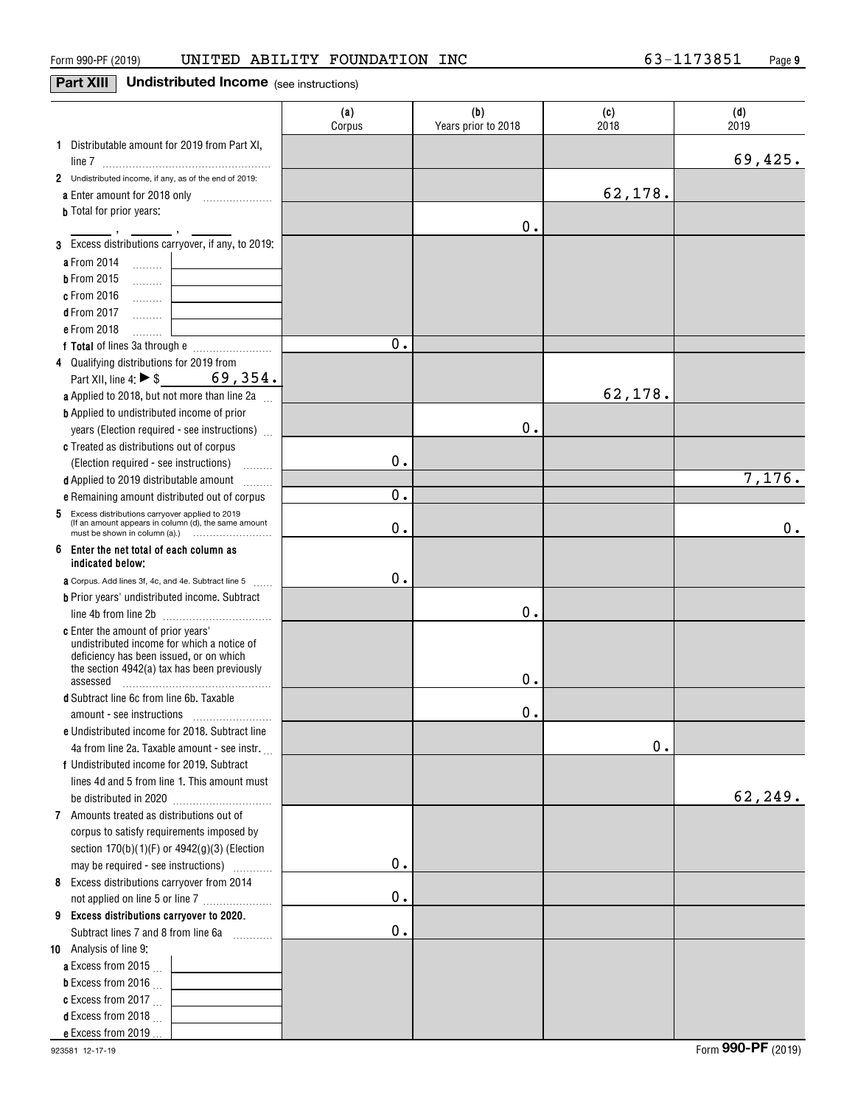# **Part XIII Undistributed Income** (see instructions)

|                                                                                                          | (a)<br>Corpus | (b)<br>Years prior to 2018 | (c)<br>2018 | (d)<br>2019 |
|----------------------------------------------------------------------------------------------------------|---------------|----------------------------|-------------|-------------|
| 1 Distributable amount for 2019 from Part XI,                                                            |               |                            |             |             |
|                                                                                                          |               |                            |             | 69,425.     |
| 2 Undistributed income, if any, as of the end of 2019:                                                   |               |                            |             |             |
|                                                                                                          |               |                            | 62,178.     |             |
| <b>b</b> Total for prior years:                                                                          |               |                            |             |             |
| 3 Excess distributions carryover, if any, to 2019:                                                       |               | 0.                         |             |             |
|                                                                                                          |               |                            |             |             |
| a From 2014                                                                                              |               |                            |             |             |
| <b>b</b> From 2015<br>.                                                                                  |               |                            |             |             |
| c From 2016<br>. L<br>d From 2017                                                                        |               |                            |             |             |
| . 1<br>e From 2018                                                                                       |               |                            |             |             |
| .                                                                                                        | 0.            |                            |             |             |
| 4 Qualifying distributions for 2019 from                                                                 |               |                            |             |             |
| Part XII, line 4: $\triangleright$ \$<br>69,354.                                                         |               |                            |             |             |
| a Applied to 2018, but not more than line 2a                                                             |               |                            | 62,178.     |             |
| <b>b</b> Applied to undistributed income of prior                                                        |               |                            |             |             |
| years (Election required - see instructions)                                                             |               | 0.                         |             |             |
| c Treated as distributions out of corpus                                                                 |               |                            |             |             |
| (Election required - see instructions)<br>.                                                              | 0.            |                            |             |             |
| d Applied to 2019 distributable amount<br>1.1.1.1.1.1.1                                                  |               |                            |             | 7,176.      |
| e Remaining amount distributed out of corpus                                                             | 0.            |                            |             |             |
| 5 Excess distributions carryover applied to 2019<br>(If an amount appears in column (d), the same amount | 0.            |                            |             | 0.          |
| 6 Enter the net total of each column as<br>indicated below;                                              |               |                            |             |             |
| <b>a</b> Corpus. Add lines 3f, 4c, and 4e. Subtract line 5                                               | 0.            |                            |             |             |
| <b>b</b> Prior years' undistributed income. Subtract                                                     |               |                            |             |             |
| line 4b from line 2b                                                                                     |               | 0.                         |             |             |
| c Enter the amount of prior years'                                                                       |               |                            |             |             |
| undistributed income for which a notice of                                                               |               |                            |             |             |
| deficiency has been issued, or on which<br>the section 4942(a) tax has been previously                   |               |                            |             |             |
| assessed                                                                                                 |               | 0.                         |             |             |
| d Subtract line 6c from line 6b. Taxable                                                                 |               |                            |             |             |
|                                                                                                          |               | 0.                         |             |             |
| e Undistributed income for 2018. Subtract line                                                           |               |                            |             |             |
| 4a from line 2a. Taxable amount - see instr.                                                             |               |                            | 0.          |             |
| f Undistributed income for 2019. Subtract                                                                |               |                            |             |             |
| lines 4d and 5 from line 1. This amount must                                                             |               |                            |             |             |
|                                                                                                          |               |                            |             | 62,249.     |
| 7 Amounts treated as distributions out of                                                                |               |                            |             |             |
| corpus to satisfy requirements imposed by                                                                |               |                            |             |             |
| section 170(b)(1)(F) or 4942(g)(3) (Election                                                             |               |                            |             |             |
| may be required - see instructions)                                                                      | 0.            |                            |             |             |
| Excess distributions carryover from 2014<br>8                                                            |               |                            |             |             |
| not applied on line 5 or line 7                                                                          | 0.            |                            |             |             |
| 9 Excess distributions carryover to 2020.                                                                | 0.            |                            |             |             |
| Subtract lines 7 and 8 from line 6a<br>a a bhailtean<br>10 Analysis of line 9:                           |               |                            |             |             |
| a Excess from 2015 $\ldots$                                                                              |               |                            |             |             |
| <b>b</b> Excess from 2016 $\ldots$                                                                       |               |                            |             |             |
| c Excess from 2017 $\ldots$                                                                              |               |                            |             |             |
| <b>d</b> Excess from 2018 $\ldots$                                                                       |               |                            |             |             |
| e Excess from 2019.                                                                                      |               |                            |             |             |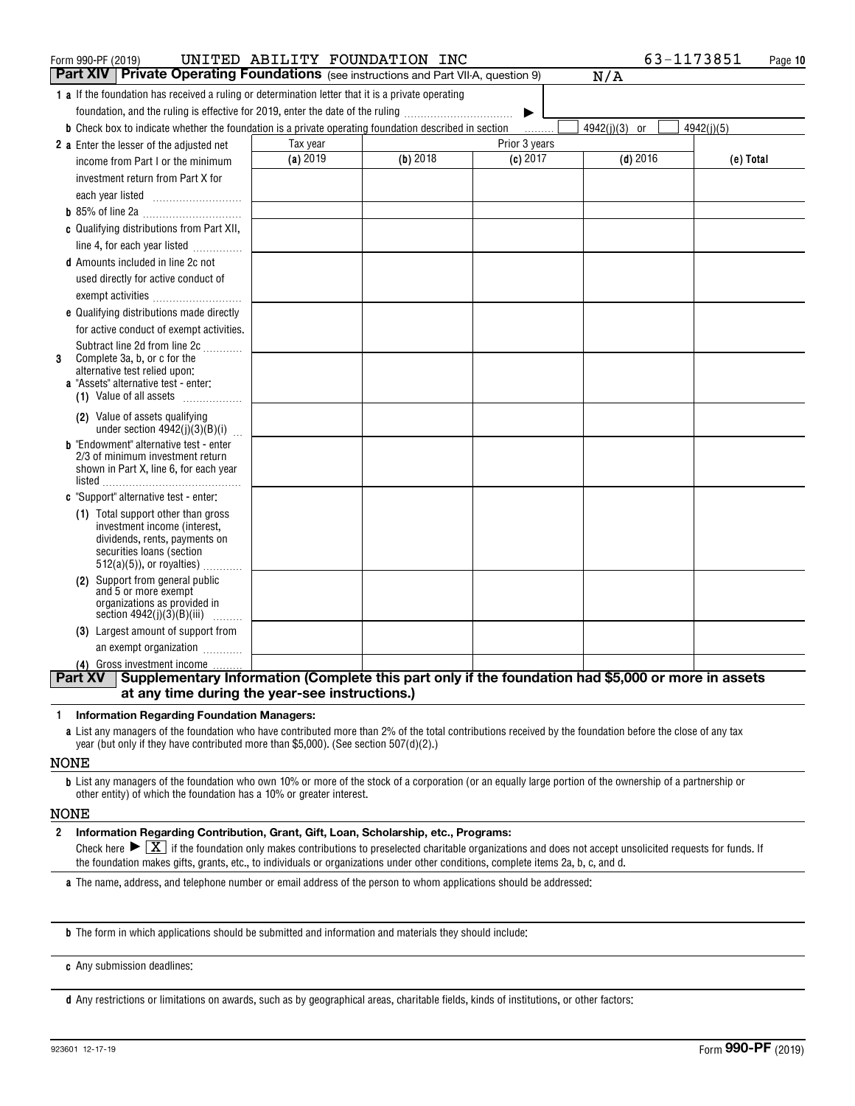| Form 990-PF (2019)                                                                                           | UNITED ABILITY FOUNDATION INC |            |               | 63-1173851                                                                                         | Page 10    |
|--------------------------------------------------------------------------------------------------------------|-------------------------------|------------|---------------|----------------------------------------------------------------------------------------------------|------------|
| <b>Part XIV   Private Operating Foundations</b> (see instructions and Part VII-A, question 9)                |                               |            |               | N/A                                                                                                |            |
| <b>1</b> a If the foundation has received a ruling or determination letter that it is a private operating    |                               |            |               |                                                                                                    |            |
| foundation, and the ruling is effective for 2019, enter the date of the ruling                               |                               |            | ▶             |                                                                                                    |            |
| <b>b</b> Check box to indicate whether the foundation is a private operating foundation described in section |                               |            |               | $4942(i)(3)$ or                                                                                    | 4942(i)(5) |
| 2 a Enter the lesser of the adjusted net                                                                     | Tax year                      |            | Prior 3 years |                                                                                                    |            |
| income from Part I or the minimum                                                                            | (a) 2019                      | $(b)$ 2018 | $(c)$ 2017    | $(d)$ 2016                                                                                         | (e) Total  |
| investment return from Part X for                                                                            |                               |            |               |                                                                                                    |            |
|                                                                                                              |                               |            |               |                                                                                                    |            |
|                                                                                                              |                               |            |               |                                                                                                    |            |
| c Qualifying distributions from Part XII,                                                                    |                               |            |               |                                                                                                    |            |
| line 4, for each year listed                                                                                 |                               |            |               |                                                                                                    |            |
| <b>d</b> Amounts included in line 2c not                                                                     |                               |            |               |                                                                                                    |            |
| used directly for active conduct of                                                                          |                               |            |               |                                                                                                    |            |
| exempt activities                                                                                            |                               |            |               |                                                                                                    |            |
| e Qualifying distributions made directly                                                                     |                               |            |               |                                                                                                    |            |
| for active conduct of exempt activities.                                                                     |                               |            |               |                                                                                                    |            |
| Subtract line 2d from line 2c                                                                                |                               |            |               |                                                                                                    |            |
| Complete 3a, b, or c for the<br>3                                                                            |                               |            |               |                                                                                                    |            |
| alternative test relied upon:<br><b>a</b> "Assets" alternative test - enter:                                 |                               |            |               |                                                                                                    |            |
| (1) Value of all assets                                                                                      |                               |            |               |                                                                                                    |            |
| (2) Value of assets qualifying                                                                               |                               |            |               |                                                                                                    |            |
| under section $4942(j)(3)(B)(i)$                                                                             |                               |            |               |                                                                                                    |            |
| <b>b</b> "Endowment" alternative test - enter                                                                |                               |            |               |                                                                                                    |            |
| 2/3 of minimum investment return<br>shown in Part X, line 6, for each year                                   |                               |            |               |                                                                                                    |            |
|                                                                                                              |                               |            |               |                                                                                                    |            |
| c "Support" alternative test - enter:                                                                        |                               |            |               |                                                                                                    |            |
| (1) Total support other than gross                                                                           |                               |            |               |                                                                                                    |            |
| investment income (interest,<br>dividends, rents, payments on                                                |                               |            |               |                                                                                                    |            |
| securities loans (section                                                                                    |                               |            |               |                                                                                                    |            |
| $512(a)(5)$ , or royalties)                                                                                  |                               |            |               |                                                                                                    |            |
| (2) Support from general public                                                                              |                               |            |               |                                                                                                    |            |
| and 5 or more exempt<br>organizations as provided in                                                         |                               |            |               |                                                                                                    |            |
| section $4942(j)(3)(B)(iii)$                                                                                 |                               |            |               |                                                                                                    |            |
| (3) Largest amount of support from                                                                           |                               |            |               |                                                                                                    |            |
| an exempt organization                                                                                       |                               |            |               |                                                                                                    |            |
| (4) Gross investment income                                                                                  |                               |            |               |                                                                                                    |            |
| <b>Part XV</b>                                                                                               |                               |            |               | Supplementary Information (Complete this part only if the foundation had \$5,000 or more in assets |            |
| at any time during the year-see instructions.)                                                               |                               |            |               |                                                                                                    |            |

### **1Information Regarding Foundation Managers:**

**a**List any managers of the foundation who have contributed more than 2% of the total contributions received by the foundation before the close of any tax year (but only if they have contributed more than \$5,000). (See section 507(d)(2).)

## NONE

**b**List any managers of the foundation who own 10% or more of the stock of a corporation (or an equally large portion of the ownership of a partnership or other entity) of which the foundation has a 10% or greater interest.

### NONE

**2Information Regarding Contribution, Grant, Gift, Loan, Scholarship, etc., Programs:**

Check here  $\blacktriangleright\boxed{\textbf{X}}$  if the foundation only makes contributions to preselected charitable organizations and does not accept unsolicited requests for funds. If the foundation makes gifts, grants, etc., to individuals or organizations under other conditions, complete items 2a, b, c, and d.

**a**The name, address, and telephone number or email address of the person to whom applications should be addressed:

**b**The form in which applications should be submitted and information and materials they should include:

**c**Any submission deadlines:

**d** Any restrictions or limitations on awards, such as by geographical areas, charitable fields, kinds of institutions, or other factors: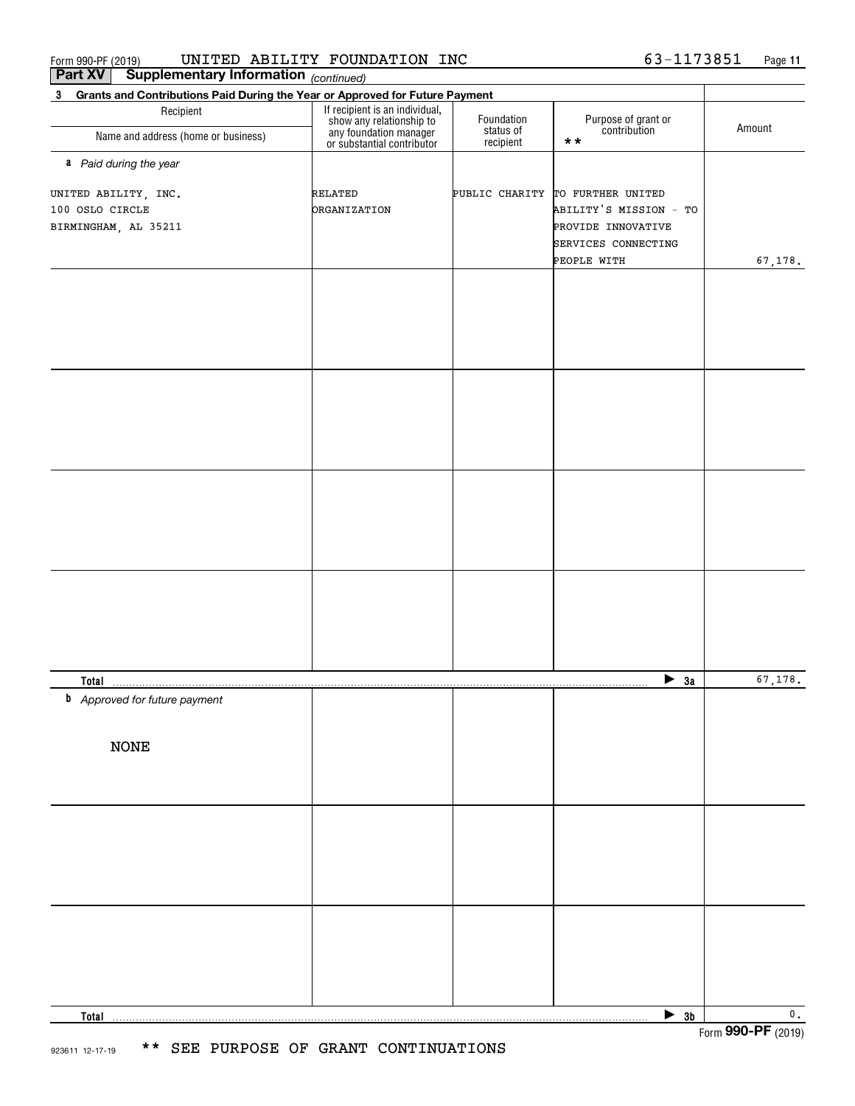|  | Form 990-PF (201 |  |
|--|------------------|--|
|--|------------------|--|

 $_{\rm Form}$ 990-PF (2019) UNITED ABILITY FOUNDATION INC 6 3-1173851 Page UNITED ABILITY FOUNDATION INC 63-1173851

| <b>Part XV</b><br>Supplementary Information (continued)                                     |                                                                                                                    |                         |                                                                                                         |                           |  |
|---------------------------------------------------------------------------------------------|--------------------------------------------------------------------------------------------------------------------|-------------------------|---------------------------------------------------------------------------------------------------------|---------------------------|--|
| $3^{\circ}$<br>Grants and Contributions Paid During the Year or Approved for Future Payment |                                                                                                                    |                         |                                                                                                         |                           |  |
| Recipient<br>Name and address (home or business)                                            | If recipient is an individual,<br>show any relationship to<br>any foundation manager<br>or substantial contributor | Foundation<br>status of | Purpose of grant or<br>contribution<br>$\star\star$                                                     | Amount                    |  |
|                                                                                             |                                                                                                                    | recipient               |                                                                                                         |                           |  |
| a Paid during the year                                                                      |                                                                                                                    |                         |                                                                                                         |                           |  |
| UNITED ABILITY, INC.<br>100 OSLO CIRCLE<br>BIRMINGHAM, AL 35211                             | RELATED<br><b>DRGANIZATION</b>                                                                                     |                         | PUBLIC CHARITY TO FURTHER UNITED<br>ABILITY'S MISSION - TO<br>PROVIDE INNOVATIVE<br>SERVICES CONNECTING |                           |  |
|                                                                                             |                                                                                                                    |                         |                                                                                                         |                           |  |
|                                                                                             |                                                                                                                    |                         | PEOPLE WITH                                                                                             | 67, 178.                  |  |
|                                                                                             |                                                                                                                    |                         |                                                                                                         |                           |  |
|                                                                                             |                                                                                                                    |                         |                                                                                                         |                           |  |
|                                                                                             |                                                                                                                    |                         |                                                                                                         |                           |  |
|                                                                                             |                                                                                                                    |                         |                                                                                                         |                           |  |
|                                                                                             |                                                                                                                    |                         |                                                                                                         |                           |  |
|                                                                                             |                                                                                                                    |                         |                                                                                                         |                           |  |
|                                                                                             |                                                                                                                    |                         |                                                                                                         |                           |  |
|                                                                                             |                                                                                                                    |                         |                                                                                                         |                           |  |
|                                                                                             |                                                                                                                    |                         |                                                                                                         |                           |  |
|                                                                                             |                                                                                                                    |                         |                                                                                                         |                           |  |
|                                                                                             |                                                                                                                    |                         |                                                                                                         |                           |  |
|                                                                                             |                                                                                                                    |                         |                                                                                                         |                           |  |
|                                                                                             |                                                                                                                    |                         |                                                                                                         |                           |  |
|                                                                                             |                                                                                                                    |                         |                                                                                                         |                           |  |
|                                                                                             |                                                                                                                    |                         |                                                                                                         |                           |  |
|                                                                                             |                                                                                                                    |                         |                                                                                                         |                           |  |
|                                                                                             |                                                                                                                    |                         |                                                                                                         |                           |  |
|                                                                                             |                                                                                                                    |                         |                                                                                                         |                           |  |
|                                                                                             |                                                                                                                    |                         |                                                                                                         |                           |  |
|                                                                                             |                                                                                                                    |                         |                                                                                                         |                           |  |
|                                                                                             |                                                                                                                    |                         |                                                                                                         |                           |  |
| <b>Total</b>                                                                                |                                                                                                                    |                         | $\blacktriangleright$ 3a                                                                                | 67, 178.                  |  |
| <b>b</b> Approved for future payment                                                        |                                                                                                                    |                         |                                                                                                         |                           |  |
|                                                                                             |                                                                                                                    |                         |                                                                                                         |                           |  |
| <b>NONE</b>                                                                                 |                                                                                                                    |                         |                                                                                                         |                           |  |
|                                                                                             |                                                                                                                    |                         |                                                                                                         |                           |  |
|                                                                                             |                                                                                                                    |                         |                                                                                                         |                           |  |
|                                                                                             |                                                                                                                    |                         |                                                                                                         |                           |  |
|                                                                                             |                                                                                                                    |                         |                                                                                                         |                           |  |
|                                                                                             |                                                                                                                    |                         |                                                                                                         |                           |  |
|                                                                                             |                                                                                                                    |                         |                                                                                                         |                           |  |
|                                                                                             |                                                                                                                    |                         |                                                                                                         |                           |  |
|                                                                                             |                                                                                                                    |                         |                                                                                                         |                           |  |
|                                                                                             |                                                                                                                    |                         |                                                                                                         |                           |  |
|                                                                                             |                                                                                                                    |                         |                                                                                                         |                           |  |
|                                                                                             |                                                                                                                    |                         |                                                                                                         |                           |  |
|                                                                                             |                                                                                                                    |                         |                                                                                                         |                           |  |
|                                                                                             |                                                                                                                    |                         |                                                                                                         |                           |  |
|                                                                                             |                                                                                                                    |                         |                                                                                                         |                           |  |
| Total                                                                                       |                                                                                                                    |                         | $\triangleright$ 3b                                                                                     | $\overline{\mathbf{0}}$ . |  |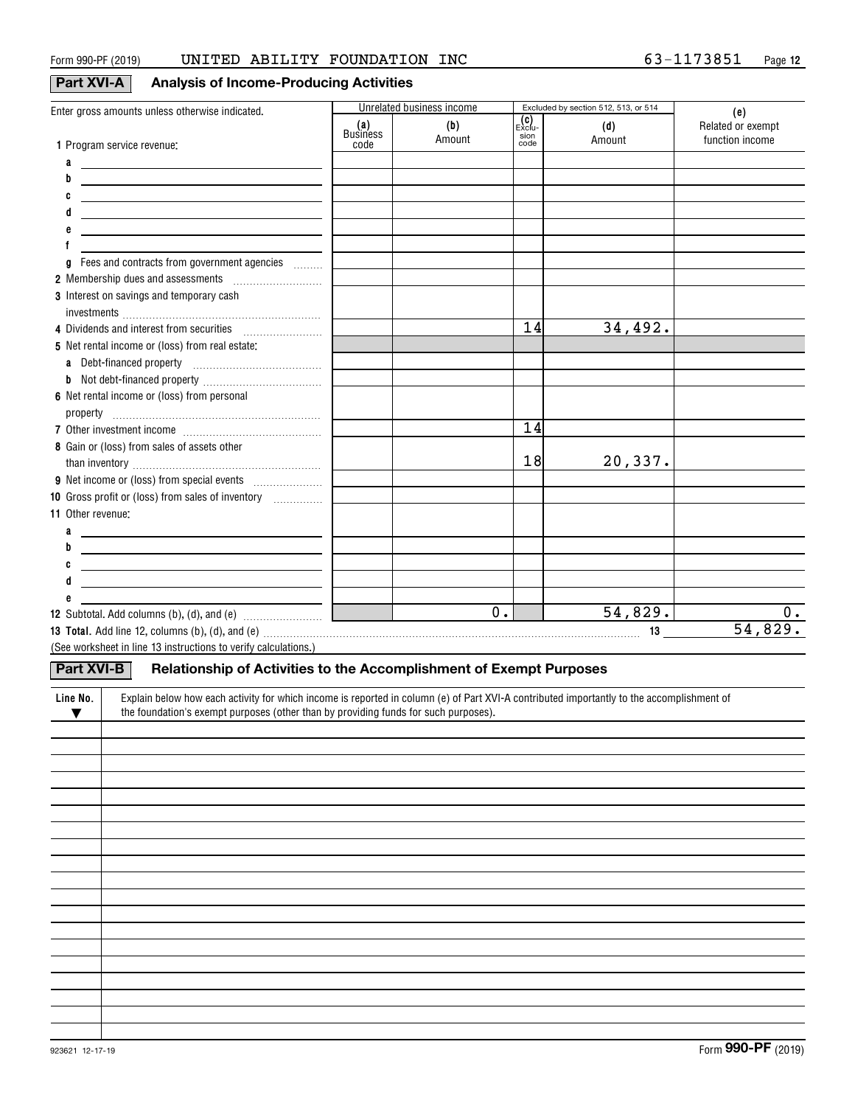# **Part XVI-A Analysis of Income-Producing Activities**

| Enter gross amounts unless otherwise indicated.                                                                                                       |                 | Unrelated business income |              | Excluded by section 512, 513, or 514 | (e)               |
|-------------------------------------------------------------------------------------------------------------------------------------------------------|-----------------|---------------------------|--------------|--------------------------------------|-------------------|
|                                                                                                                                                       | (a)<br>Business | (b)                       | Exclu-       | (d)                                  | Related or exempt |
| 1 Program service revenue:                                                                                                                            | code            | Amount                    | sion<br>code | Amount                               | function income   |
| a<br><u> Alexandria de la contrada de la contrada de la contrada de la contrada de la contrada de la contrada de la c</u>                             |                 |                           |              |                                      |                   |
| b<br><u> 1989 - Johann Barn, mars eta bainar eta idazlea (h. 1989).</u>                                                                               |                 |                           |              |                                      |                   |
| C<br><u> 1989 - Johann Barn, amerikansk politiker (d. 1989)</u>                                                                                       |                 |                           |              |                                      |                   |
| d<br><u> 1980 - Johann Stoff, fransk politik (d. 1980)</u>                                                                                            |                 |                           |              |                                      |                   |
| <u> 1989 - Johann Barn, mars et al. (b. 1989)</u>                                                                                                     |                 |                           |              |                                      |                   |
|                                                                                                                                                       |                 |                           |              |                                      |                   |
| Fees and contracts from government agencies<br>g                                                                                                      |                 |                           |              |                                      |                   |
|                                                                                                                                                       |                 |                           |              |                                      |                   |
| 3 Interest on savings and temporary cash                                                                                                              |                 |                           |              |                                      |                   |
|                                                                                                                                                       |                 |                           |              |                                      |                   |
| 4 Dividends and interest from securities                                                                                                              |                 |                           | 14           | 34,492.                              |                   |
| 5 Net rental income or (loss) from real estate:                                                                                                       |                 |                           |              |                                      |                   |
| a Debt-financed property [11] [11] Debt-financed property                                                                                             |                 |                           |              |                                      |                   |
|                                                                                                                                                       |                 |                           |              |                                      |                   |
| 6 Net rental income or (loss) from personal                                                                                                           |                 |                           |              |                                      |                   |
|                                                                                                                                                       |                 |                           |              |                                      |                   |
|                                                                                                                                                       |                 |                           | 14           |                                      |                   |
| 8 Gain or (loss) from sales of assets other                                                                                                           |                 |                           |              |                                      |                   |
|                                                                                                                                                       |                 |                           | 18           | 20,337.                              |                   |
|                                                                                                                                                       |                 |                           |              |                                      |                   |
| 10 Gross profit or (loss) from sales of inventory <i></i>                                                                                             |                 |                           |              |                                      |                   |
| 11 Other revenue:                                                                                                                                     |                 |                           |              |                                      |                   |
| <u> 1989 - Johann Barn, fransk politik amerikansk politik (d. 1989)</u>                                                                               |                 |                           |              |                                      |                   |
| b<br><u> 1989 - Johann Stein, fransk politik (d. 1989)</u>                                                                                            |                 |                           |              |                                      |                   |
| C<br><u> 1989 - Johann Barn, fransk politik (d. 1989)</u>                                                                                             |                 |                           |              |                                      |                   |
| <u> 1989 - Johann Barn, mars and de Brasilian (b. 1989)</u>                                                                                           |                 |                           |              |                                      |                   |
|                                                                                                                                                       |                 |                           |              |                                      |                   |
|                                                                                                                                                       |                 | $\overline{0}$ .          |              | 54,829.                              | 0.                |
|                                                                                                                                                       |                 |                           |              |                                      | 54,829.           |
| (See worksheet in line 13 instructions to verify calculations.)                                                                                       |                 |                           |              |                                      |                   |
| Part XVI-B<br>Relationship of Activities to the Accomplishment of Exempt Purposes                                                                     |                 |                           |              |                                      |                   |
|                                                                                                                                                       |                 |                           |              |                                      |                   |
| Explain below how each activity for which income is reported in column (e) of Part XVI-A contributed importantly to the accomplishment of<br>Line No. |                 |                           |              |                                      |                   |
| the foundation's exempt purposes (other than by providing funds for such purposes).<br>$\blacktriangledown$                                           |                 |                           |              |                                      |                   |
|                                                                                                                                                       |                 |                           |              |                                      |                   |
|                                                                                                                                                       |                 |                           |              |                                      |                   |
|                                                                                                                                                       |                 |                           |              |                                      |                   |
|                                                                                                                                                       |                 |                           |              |                                      |                   |
|                                                                                                                                                       |                 |                           |              |                                      |                   |
|                                                                                                                                                       |                 |                           |              |                                      |                   |
|                                                                                                                                                       |                 |                           |              |                                      |                   |
|                                                                                                                                                       |                 |                           |              |                                      |                   |
|                                                                                                                                                       |                 |                           |              |                                      |                   |
|                                                                                                                                                       |                 |                           |              |                                      |                   |
|                                                                                                                                                       |                 |                           |              |                                      |                   |
|                                                                                                                                                       |                 |                           |              |                                      |                   |
|                                                                                                                                                       |                 |                           |              |                                      |                   |
|                                                                                                                                                       |                 |                           |              |                                      |                   |
|                                                                                                                                                       |                 |                           |              |                                      |                   |
|                                                                                                                                                       |                 |                           |              |                                      |                   |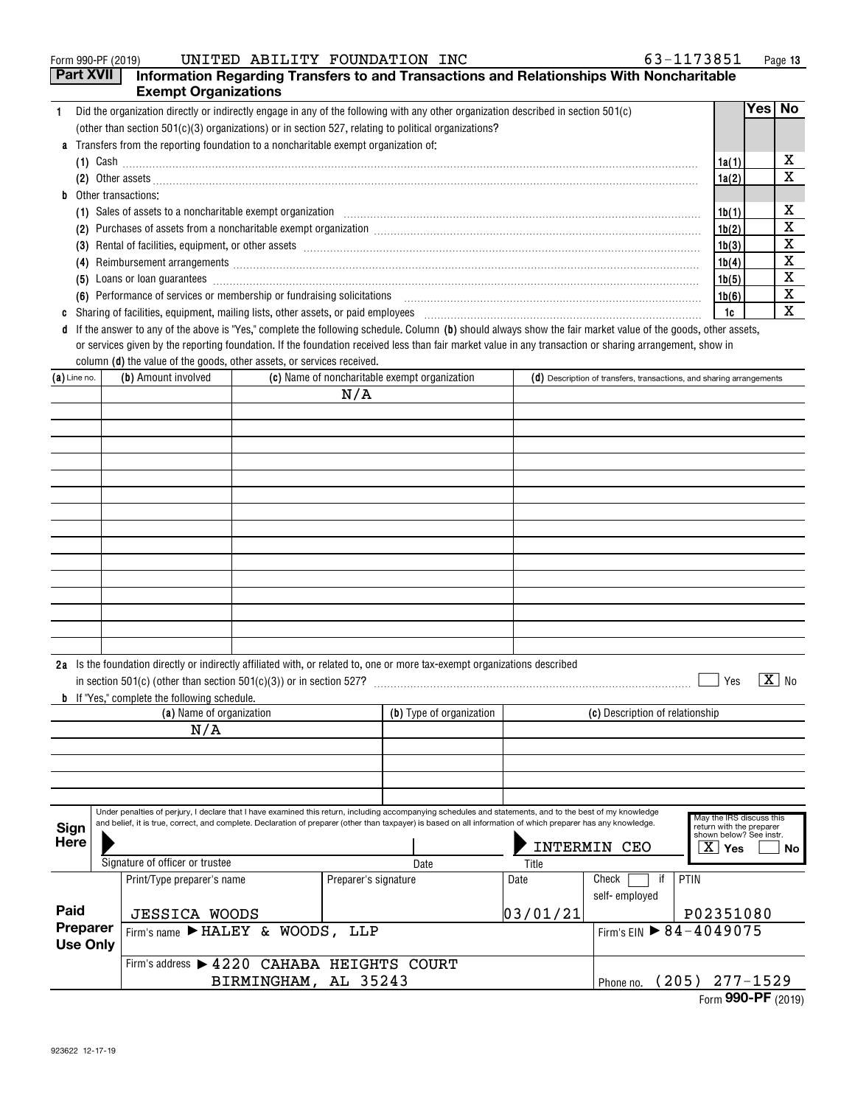| UNITED ABILITY FOUNDATION INC<br>Form 990-PF (2019)                                                                                                                                                                                   | 63-1173851 |      | Page 13 |
|---------------------------------------------------------------------------------------------------------------------------------------------------------------------------------------------------------------------------------------|------------|------|---------|
| Part XVII<br>Information Regarding Transfers to and Transactions and Relationships With Noncharitable                                                                                                                                 |            |      |         |
| <b>Exempt Organizations</b>                                                                                                                                                                                                           |            |      |         |
| Did the organization directly or indirectly engage in any of the following with any other organization described in section 501(c)                                                                                                    |            | Yes⊺ | No.     |
| (other than section $501(c)(3)$ organizations) or in section 527, relating to political organizations?                                                                                                                                |            |      |         |
| a Transfers from the reporting foundation to a noncharitable exempt organization of:                                                                                                                                                  |            |      |         |
| $(1)$ Cash                                                                                                                                                                                                                            | 1a(1)      |      | х       |
|                                                                                                                                                                                                                                       | 1a(2)      |      | х       |
| <b>b</b> Other transactions:                                                                                                                                                                                                          |            |      |         |
|                                                                                                                                                                                                                                       | 1b(1)      |      | х       |
| Purchases of assets from a noncharitable exempt organization [11] manufacture manufacture contraction and annufacture manufacture exempt organization [11] manufacture manufacture exempt or game in the contract of the set o<br>(2) | 1b(2)      |      | х       |
| (3)                                                                                                                                                                                                                                   | 1b(3)      |      | х       |
|                                                                                                                                                                                                                                       | 1b(4)      |      | х       |
| Loans or loan guarantees encourance and an account of the contract of the contract of the contract of the contract of the contract of the contract of the contract of the contract of the contract of the contract of the cont<br>(5) | 1b(5)      |      | х       |
| (6) Performance of services or membership or fundraising solicitations                                                                                                                                                                | 1b(6)      |      | х       |
|                                                                                                                                                                                                                                       | 1c         |      | x       |
|                                                                                                                                                                                                                                       |            |      |         |

**d** If the answer to any of the above is "Yes," complete the following schedule. Column (b) should always show the fair market value of the goods, other assets, column **(d)** the value of the goods, other assets, or services received. or services given by the reporting foundation. If the foundation received less than fair market value in any transaction or sharing arrangement, show in

| $(a)$ Line no.              | (b) Amount involved                                                                                                                                                                                                                                                                                                       | (c) Name of noncharitable exempt organization |                      |                          |       | $(d)$ Description of transfers, transactions, and sharing arrangements |                                 |                                                                                                                      |  |
|-----------------------------|---------------------------------------------------------------------------------------------------------------------------------------------------------------------------------------------------------------------------------------------------------------------------------------------------------------------------|-----------------------------------------------|----------------------|--------------------------|-------|------------------------------------------------------------------------|---------------------------------|----------------------------------------------------------------------------------------------------------------------|--|
|                             |                                                                                                                                                                                                                                                                                                                           |                                               | N/A                  |                          |       |                                                                        |                                 |                                                                                                                      |  |
|                             |                                                                                                                                                                                                                                                                                                                           |                                               |                      |                          |       |                                                                        |                                 |                                                                                                                      |  |
|                             |                                                                                                                                                                                                                                                                                                                           |                                               |                      |                          |       |                                                                        |                                 |                                                                                                                      |  |
|                             |                                                                                                                                                                                                                                                                                                                           |                                               |                      |                          |       |                                                                        |                                 |                                                                                                                      |  |
|                             |                                                                                                                                                                                                                                                                                                                           |                                               |                      |                          |       |                                                                        |                                 |                                                                                                                      |  |
|                             |                                                                                                                                                                                                                                                                                                                           |                                               |                      |                          |       |                                                                        |                                 |                                                                                                                      |  |
|                             |                                                                                                                                                                                                                                                                                                                           |                                               |                      |                          |       |                                                                        |                                 |                                                                                                                      |  |
|                             |                                                                                                                                                                                                                                                                                                                           |                                               |                      |                          |       |                                                                        |                                 |                                                                                                                      |  |
|                             |                                                                                                                                                                                                                                                                                                                           |                                               |                      |                          |       |                                                                        |                                 |                                                                                                                      |  |
|                             |                                                                                                                                                                                                                                                                                                                           |                                               |                      |                          |       |                                                                        |                                 |                                                                                                                      |  |
|                             |                                                                                                                                                                                                                                                                                                                           |                                               |                      |                          |       |                                                                        |                                 |                                                                                                                      |  |
|                             |                                                                                                                                                                                                                                                                                                                           |                                               |                      |                          |       |                                                                        |                                 |                                                                                                                      |  |
|                             |                                                                                                                                                                                                                                                                                                                           |                                               |                      |                          |       |                                                                        |                                 |                                                                                                                      |  |
|                             |                                                                                                                                                                                                                                                                                                                           |                                               |                      |                          |       |                                                                        |                                 |                                                                                                                      |  |
|                             | 2a Is the foundation directly or indirectly affiliated with, or related to, one or more tax-exempt organizations described<br><b>b</b> If "Yes," complete the following schedule.<br>(a) Name of organization                                                                                                             |                                               |                      | (b) Type of organization |       |                                                                        | (c) Description of relationship | $\overline{X}$ No<br>Yes                                                                                             |  |
|                             | N/A                                                                                                                                                                                                                                                                                                                       |                                               |                      |                          |       |                                                                        |                                 |                                                                                                                      |  |
|                             |                                                                                                                                                                                                                                                                                                                           |                                               |                      |                          |       |                                                                        |                                 |                                                                                                                      |  |
|                             |                                                                                                                                                                                                                                                                                                                           |                                               |                      |                          |       |                                                                        |                                 |                                                                                                                      |  |
|                             |                                                                                                                                                                                                                                                                                                                           |                                               |                      |                          |       |                                                                        |                                 |                                                                                                                      |  |
|                             |                                                                                                                                                                                                                                                                                                                           |                                               |                      |                          |       |                                                                        |                                 |                                                                                                                      |  |
| Sign<br>Here                | Under penalties of perjury, I declare that I have examined this return, including accompanying schedules and statements, and to the best of my knowledge<br>and belief, it is true, correct, and complete. Declaration of preparer (other than taxpayer) is based on all information of which preparer has any knowledge. |                                               |                      |                          |       |                                                                        | INTERMIN CEO                    | May the IRS discuss this<br>return with the preparer<br>shown below? See instr.<br>$\overline{\text{X}}$   Yes<br>No |  |
|                             | Signature of officer or trustee                                                                                                                                                                                                                                                                                           |                                               | Date                 |                          | Title |                                                                        |                                 |                                                                                                                      |  |
|                             | Print/Type preparer's name                                                                                                                                                                                                                                                                                                |                                               | Preparer's signature |                          |       | Date                                                                   | Check<br>if<br>self-employed    | PTIN                                                                                                                 |  |
| Paid                        | <b>JESSICA WOODS</b>                                                                                                                                                                                                                                                                                                      |                                               |                      |                          |       | 03/01/21                                                               |                                 | P02351080                                                                                                            |  |
| Preparer<br><b>Use Only</b> | Firm's name FHALEY & WOODS, LLP                                                                                                                                                                                                                                                                                           |                                               |                      |                          |       |                                                                        |                                 | Firm's EIN $\rightarrow 84-4049075$                                                                                  |  |
|                             | Firm's address > 4220 CAHABA HEIGHTS COURT                                                                                                                                                                                                                                                                                |                                               |                      |                          |       |                                                                        |                                 |                                                                                                                      |  |

BIRMINGHAM, AL 35243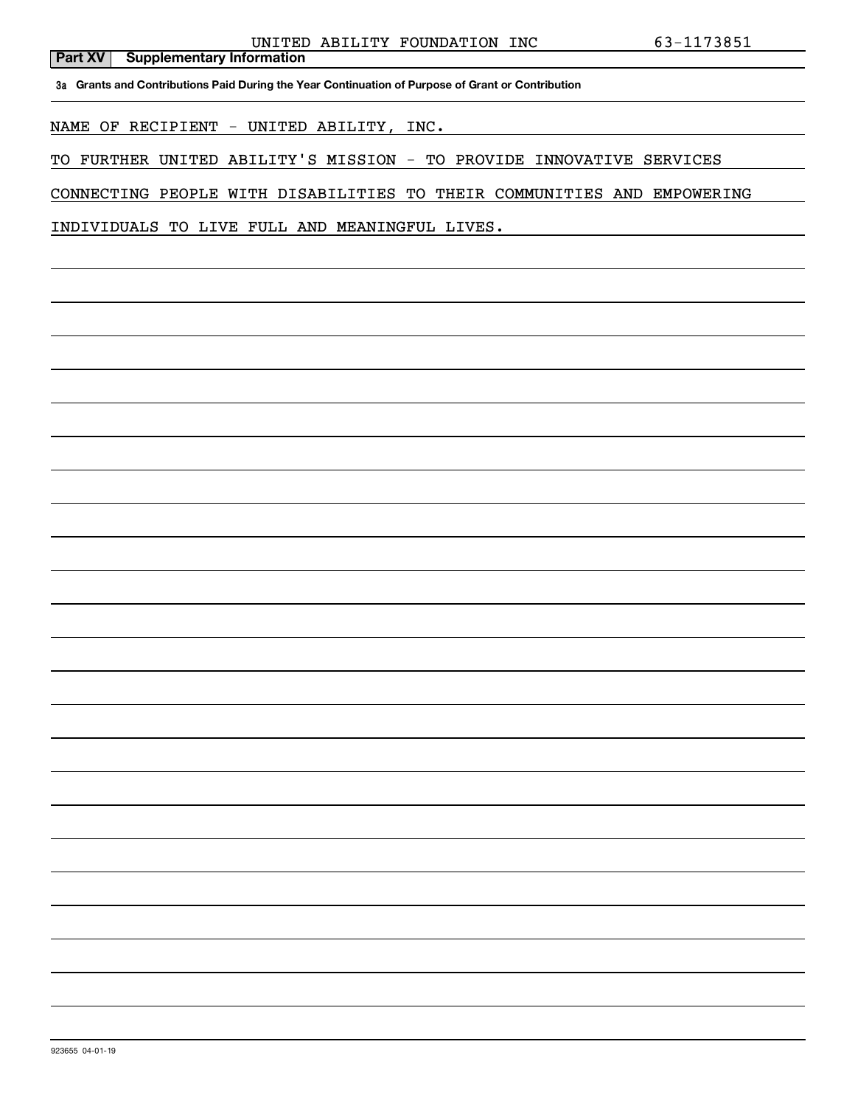**3a Grants and Contributions Paid During the Year Continuation of Purpose of Grant or Contribution**

NAME OF RECIPIENT - UNITED ABILITY, INC.

TO FURTHER UNITED ABILITY'S MISSION - TO PROVIDE INNOVATIVE SERVICES

CONNECTING PEOPLE WITH DISABILITIES TO THEIR COMMUNITIES AND EMPOWERING

INDIVIDUALS TO LIVE FULL AND MEANINGFUL LIVES.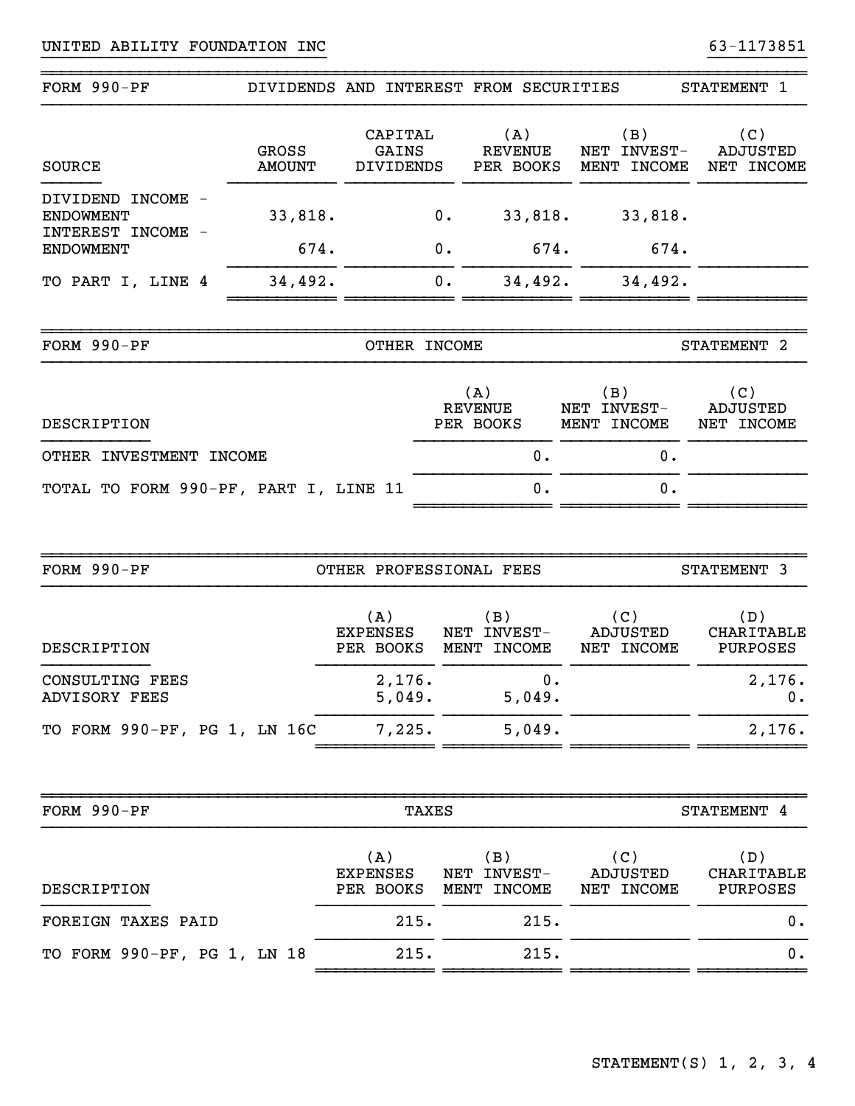|                                                            |                        | DIVIDENDS AND INTEREST FROM SECURITIES |                                    |                                    |                                   | STATEMENT 1                          |
|------------------------------------------------------------|------------------------|----------------------------------------|------------------------------------|------------------------------------|-----------------------------------|--------------------------------------|
| <b>SOURCE</b>                                              | GROSS<br><b>AMOUNT</b> | CAPITAL<br>GAINS<br>DIVIDENDS          |                                    | (A)<br><b>REVENUE</b><br>PER BOOKS | (B)<br>NET INVEST-<br>MENT INCOME | (C)<br><b>ADJUSTED</b><br>NET INCOME |
| DIVIDEND INCOME -<br><b>ENDOWMENT</b><br>INTEREST INCOME - | 33,818.                |                                        | $0$ .                              | 33,818.                            | 33,818.                           |                                      |
| <b>ENDOWMENT</b>                                           | 674.                   |                                        | 0.                                 | 674.                               | 674.                              |                                      |
| TO PART I, LINE 4                                          | 34,492.                |                                        | 0.                                 | 34,492.                            | 34,492.                           |                                      |
| FORM 990-PF                                                |                        | OTHER INCOME                           |                                    |                                    |                                   | STATEMENT 2                          |
| DESCRIPTION                                                |                        |                                        | (A)<br><b>REVENUE</b><br>PER BOOKS |                                    | (B)<br>NET INVEST-<br>MENT INCOME | (C)<br>ADJUSTED<br>NET INCOME        |
| OTHER INVESTMENT INCOME                                    |                        |                                        |                                    | 0.                                 | 0.                                |                                      |
| TOTAL TO FORM 990-PF, PART I, LINE 11                      |                        |                                        |                                    |                                    | 0.                                |                                      |
|                                                            |                        |                                        |                                    |                                    |                                   |                                      |
| FORM 990-PF                                                |                        | OTHER PROFESSIONAL FEES                |                                    |                                    |                                   |                                      |
|                                                            |                        |                                        |                                    |                                    |                                   | STATEMENT 3                          |
| DESCRIPTION                                                |                        | (A)<br><b>EXPENSES</b><br>PER BOOKS    |                                    | (B)<br>NET INVEST-<br>MENT INCOME  | (C)<br>ADJUSTED<br>NET INCOME     | (D)<br><b>CHARITABLE</b><br>PURPOSES |
| <b>CONSULTING FEES</b><br><b>ADVISORY FEES</b>             |                        | 2,176.<br>5,049.                       |                                    | 0.<br>5,049.                       |                                   | 2,176.<br>$\mathbf 0$ .              |
| TO FORM 990-PF, PG 1, LN 16C                               |                        | 7,225.                                 |                                    | 5,049.                             |                                   | 2,176.                               |
| FORM 990-PF                                                |                        |                                        | <b>TAXES</b>                       |                                    |                                   | STATEMENT 4                          |
| DESCRIPTION                                                |                        | (A)<br>EXPENSES<br>PER BOOKS           |                                    | (B)<br>NET INVEST-<br>MENT INCOME  | (C)<br>ADJUSTED<br>NET INCOME     | (D)<br>CHARITABLE<br>PURPOSES        |
| FOREIGN TAXES PAID                                         |                        | 215.                                   |                                    | 215.                               |                                   | 0.                                   |

}}}}}}}}}}}}}}}}}}}}}}}}}}}}} }}}}}}}}}}

~~~~~~~~~~~~~~~~~~~~~~~~~~~~~~~~~~~~~~~~~~~~~~~~~~~~~~~~~~~~~~~~~~~~~~~~~~~~~~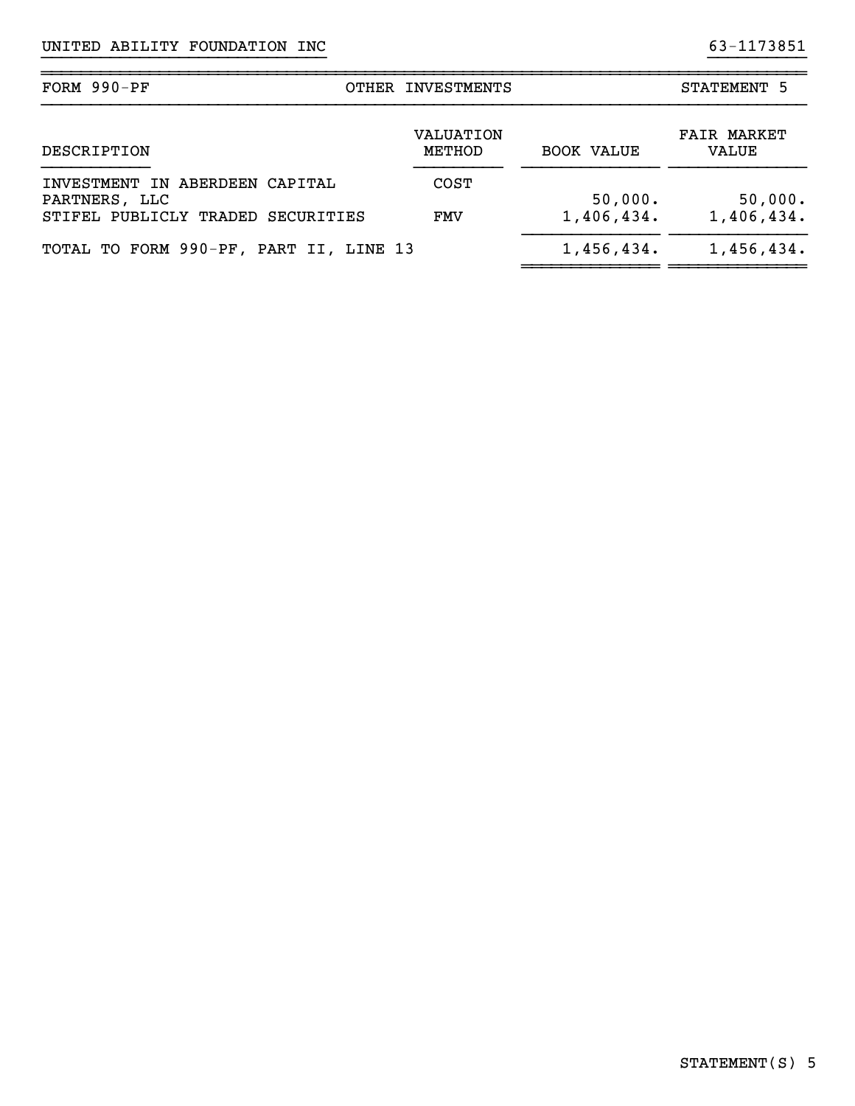| FORM $990-PF$                                                                        | OTHER INVESTMENTS   |                       | STATEMENT 5                 |
|--------------------------------------------------------------------------------------|---------------------|-----------------------|-----------------------------|
| DESCRIPTION                                                                          | VALUATION<br>METHOD | <b>BOOK VALUE</b>     | <b>FAIR MARKET</b><br>VALUE |
| INVESTMENT IN ABERDEEN CAPITAL<br>PARTNERS, LLC<br>STIFEL PUBLICLY TRADED SECURITIES | <b>COST</b><br>FMV  | 50,000.<br>1,406,434. | 50,000.<br>1,406,434.       |
| TOTAL TO FORM 990-PF, PART II, LINE 13                                               |                     | 1,456,434.            | 1,456,434.                  |

}}}}}}}}}}}}}}}}}}}}}}}}}}}}} }}}}}}}}}}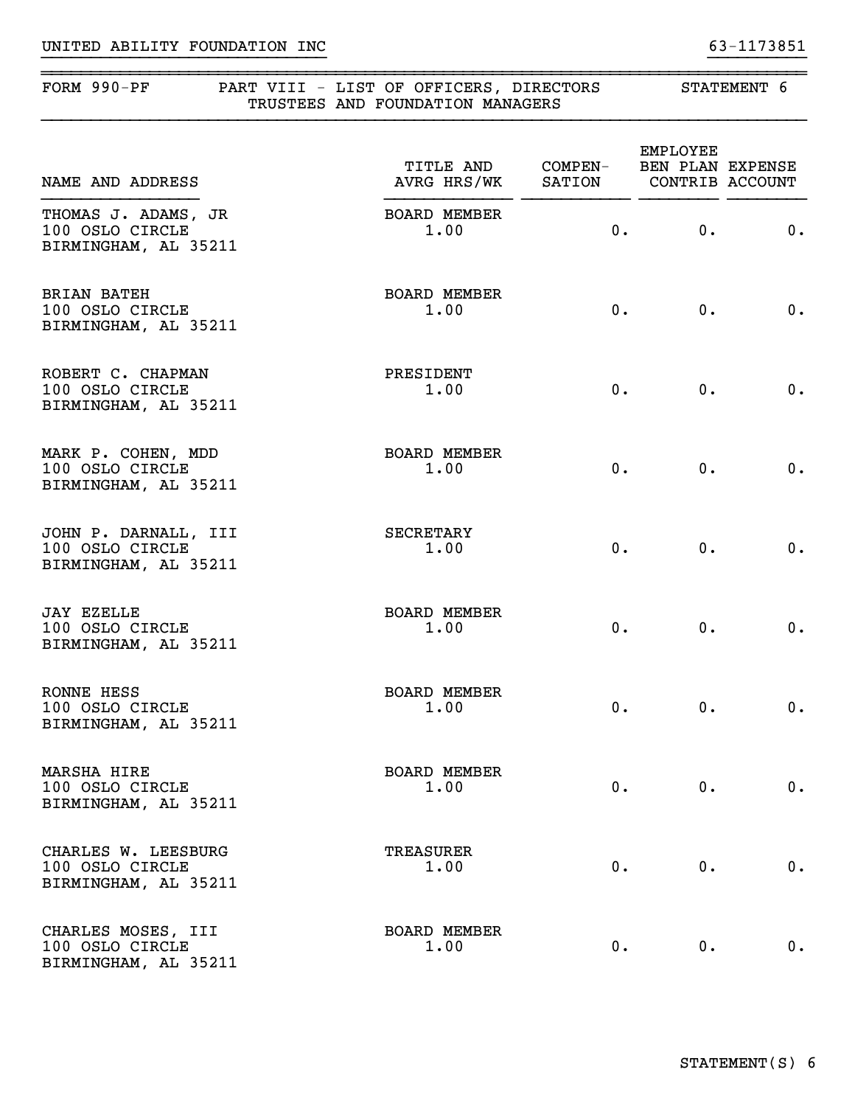| FORM $990-PF$                                                   | PART VIII - LIST OF OFFICERS, DIRECTORS<br>TRUSTEES AND FOUNDATION MANAGERS | STATEMENT 6 |                                                 |       |
|-----------------------------------------------------------------|-----------------------------------------------------------------------------|-------------|-------------------------------------------------|-------|
| NAME AND ADDRESS                                                | TITLE AND COMPEN-<br>AVRG HRS/WK                                            | SATION      | EMPLOYEE<br>BEN PLAN EXPENSE<br>CONTRIB ACCOUNT |       |
| THOMAS J. ADAMS, JR<br>100 OSLO CIRCLE<br>BIRMINGHAM, AL 35211  | <b>BOARD MEMBER</b><br>1.00                                                 | 0.          | 0.                                              | 0.    |
| <b>BRIAN BATEH</b><br>100 OSLO CIRCLE<br>BIRMINGHAM, AL 35211   | <b>BOARD MEMBER</b><br>1.00                                                 | 0.          | $0$ .                                           | 0.    |
| ROBERT C. CHAPMAN<br>100 OSLO CIRCLE<br>BIRMINGHAM, AL 35211    | PRESIDENT<br>1.00                                                           | $0 \cdot$   | 0.                                              | 0.    |
| MARK P. COHEN, MDD<br>100 OSLO CIRCLE<br>BIRMINGHAM, AL 35211   | <b>BOARD MEMBER</b><br>1.00                                                 | $0$ .       | 0.                                              | 0.    |
| JOHN P. DARNALL, III<br>100 OSLO CIRCLE<br>BIRMINGHAM, AL 35211 | <b>SECRETARY</b><br>1.00                                                    | $0 \cdot$   | $0$ .                                           | 0.    |
| <b>JAY EZELLE</b><br>100 OSLO CIRCLE<br>BIRMINGHAM, AL 35211    | <b>BOARD MEMBER</b><br>1.00                                                 | $0 \cdot$   | 0.                                              | 0.    |
| RONNE HESS<br>100 OSLO CIRCLE<br>BIRMINGHAM, AL 35211           | <b>BOARD MEMBER</b><br>1.00                                                 | $0$ .       | 0.                                              | $0$ . |
| MARSHA HIRE<br>100 OSLO CIRCLE<br>BIRMINGHAM, AL 35211          | <b>BOARD MEMBER</b><br>1.00                                                 | $0$ .       | 0.                                              | 0.    |
| CHARLES W. LEESBURG<br>100 OSLO CIRCLE<br>BIRMINGHAM, AL 35211  | TREASURER<br>1.00                                                           | $0 \cdot$   | $0$ .                                           | 0.    |
| CHARLES MOSES, III<br>100 OSLO CIRCLE<br>BIRMINGHAM, AL 35211   | <b>BOARD MEMBER</b><br>1.00                                                 | $0$ .       | 0.                                              | 0.    |

}}}}}}}}}}}}}}}}}}}}}}}}}}}}} }}}}}}}}}}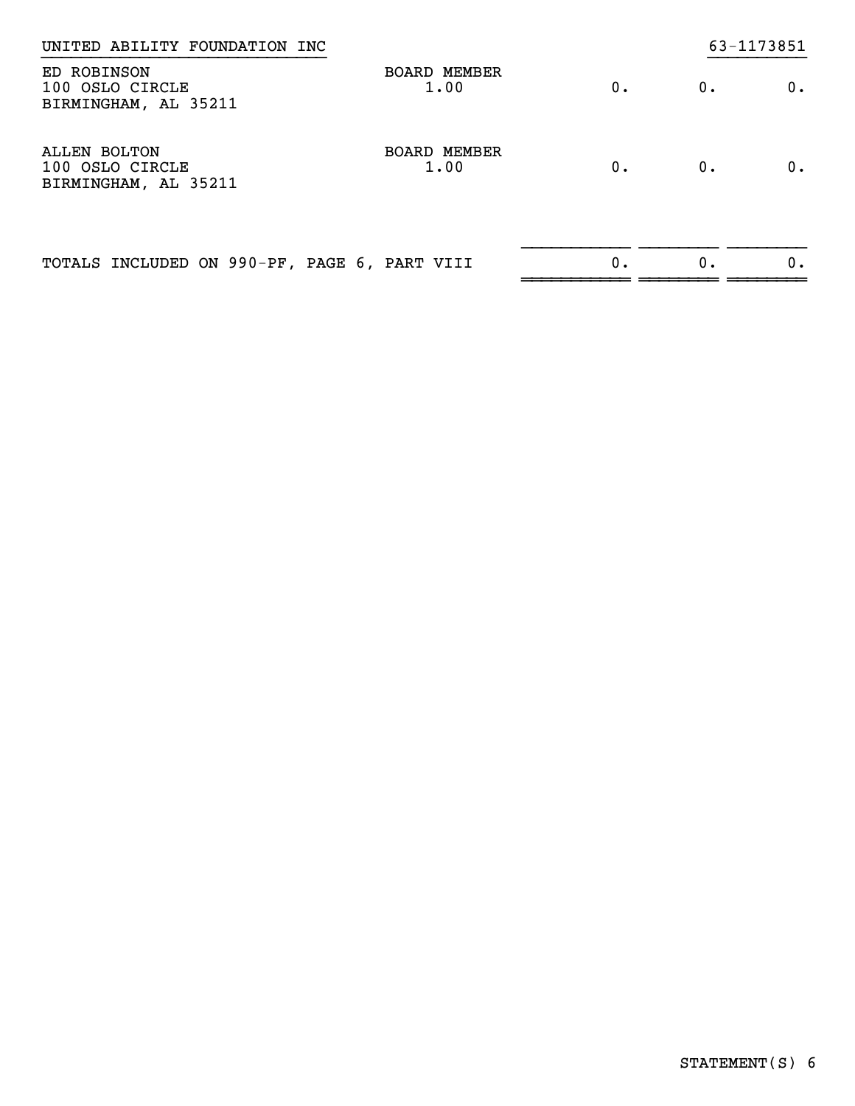| UNITED ABILITY FOUNDATION INC                           |                             |    |    | 63-1173851 |
|---------------------------------------------------------|-----------------------------|----|----|------------|
| ED ROBINSON<br>100 OSLO CIRCLE<br>BIRMINGHAM, AL 35211  | <b>BOARD MEMBER</b><br>1.00 | 0. | 0. | 0.         |
| ALLEN BOLTON<br>100 OSLO CIRCLE<br>BIRMINGHAM, AL 35211 | BOARD MEMBER<br>1.00        | 0. | 0. | 0.         |
| TOTALS INCLUDED ON 990-PF, PAGE 6, PART VIII            |                             | 0. | 0. | 0.         |